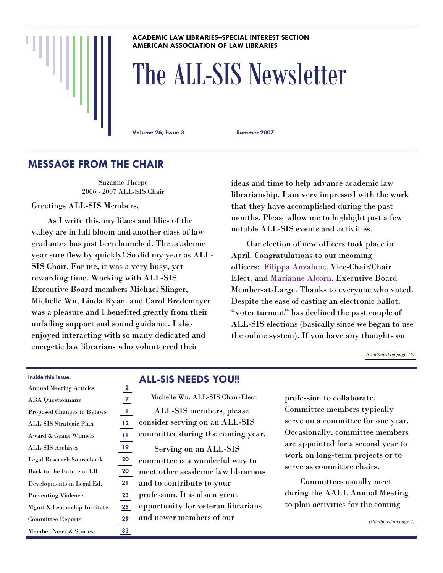#### **ACADEMIC LAW LIBRARIES–SPECIAL INTEREST SECTION AMERICAN ASSOCIATION OF LAW LIBRARIES**

# The ALL-SIS Newsletter

**Volume 26, Issue 3 Summer 2007** 

### **MESSAGE FROM THE CHAIR**

Suzanne Thorpe 2006 - 2007 ALL-SIS Chair

Greetings ALL-SIS Members,

 As I write this, my lilacs and lilies of the valley are in full bloom and another class of law graduates has just been launched. The academic year sure flew by quickly! So did my year as ALL-SIS Chair. For me, it was a very busy, yet rewarding time. Working with ALL-SIS Executive Board members Michael Slinger, Michelle Wu, Linda Ryan, and Carol Bredemeyer was a pleasure and I benefited greatly from their unfailing support and sound guidance. I also enjoyed interacting with so many dedicated and energetic law librarians who volunteered their

ideas and time to help advance academic law librarianship. I am very impressed with the work that they have accomplished during the past months. Please allow me to highlight just a few notable ALL-SIS events and activities.

 Our election of new officers took place in April. Congratulations to our incoming officers: [Filippa Anzalone](http://www.aallnet.org/sis/allsis/newsletter/26_election/Anzalone.htm), Vice-Chair/Chair Elect, and [Marianne Alcorn](http://www.aallnet.org/sis/allsis/newsletter/26_election/Alcorn.htm), Executive Board Member-at-Large. Thanks to everyone who voted. Despite the ease of casting an electronic ballot, "voter turnout" has declined the past couple of ALL-SIS elections (basically since we began to use the online system). If you have any thoughts on

*[\(Continued on page 16\)](#page-15-0)* 

### **Inside this issue:**

| <b>Annual Meeting Articles</b>    | $\mathbf 2$ |
|-----------------------------------|-------------|
| <b>ABA</b> Questionnaire          | 7           |
| <b>Proposed Changes to Bylaws</b> | 8           |
| ALL-SIS Strategic Plan            | 12          |
| Award & Grant Winners             | 18          |
| <b>ALL-SIS Archives</b>           | 19          |
| Legal Research Sourcebook         | 20          |
| Back to the Future of LR          | 20          |
| Developments in Legal Ed.         | 21          |
| <b>Preventing Violence</b>        | 23          |
| Mgmt & Leadership Institute       | 25          |
| <b>Committee Reports</b>          | 29          |
| Member News & Stories             | 33          |

### **ALL-SIS NEEDS YOU!!**

| Michelle Wu, ALL-SIS Chair-Elect   |
|------------------------------------|
| ALL-SIS members, please            |
| consider serving on an ALL-SIS     |
| committee during the coming year.  |
| Serving on an ALL-SIS              |
| committee is a wonderful way to    |
| meet other academic law librarians |
| and to contribute to your          |
| profession. It is also a great     |
| opportunity for veteran librarians |
| and newer members of our           |
|                                    |

profession to collaborate. Committee members typically serve on a committee for one year. Occasionally, committee members are appointed for a second year to work on long-term projects or to serve as committee chairs.

 Committees usually meet during the AALL Annual Meeting to plan activities for the coming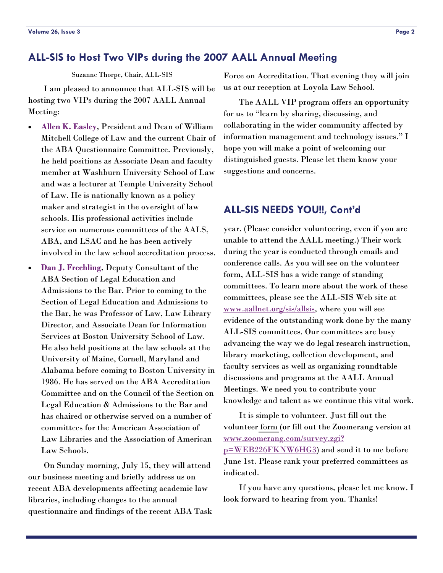### <span id="page-1-0"></span>**ALL-SIS to Host Two VIPs during the 2007 AALL Annual Meeting**

Suzanne Thorpe, Chair, ALL-SIS

 I am pleased to announce that ALL-SIS will be hosting two VIPs during the 2007 AALL Annual Meeting:

- **[Allen K. Easley](http://www.wmitchell.edu/academics/faculty/Easley.asp)**, President and Dean of William Mitchell College of Law and the current Chair of the ABA Questionnaire Committee. Previously, he held positions as Associate Dean and faculty member at Washburn University School of Law and was a lecturer at Temple University School of Law. He is nationally known as a policy maker and strategist in the oversight of law schools. His professional activities include service on numerous committees of the AALS, ABA, and LSAC and he has been actively involved in the law school accreditation process.
- **[Dan J. Freehling](http://www.abanet.org/legaled/section/sectionstaff.html)**, Deputy Consultant of the ABA Section of Legal Education and Admissions to the Bar. Prior to coming to the Section of Legal Education and Admissions to the Bar, he was Professor of Law, Law Library Director, and Associate Dean for Information Services at Boston University School of Law. He also held positions at the law schools at the University of Maine, Cornell, Maryland and Alabama before coming to Boston University in 1986. He has served on the ABA Accreditation Committee and on the Council of the Section on Legal Education & Admissions to the Bar and has chaired or otherwise served on a number of committees for the American Association of Law Libraries and the Association of American Law Schools.

 On Sunday morning, July 15, they will attend our business meeting and briefly address us on recent ABA developments affecting academic law libraries, including changes to the annual questionnaire and findings of the recent ABA Task Force on Accreditation. That evening they will join us at our reception at Loyola Law School.

 The AALL VIP program offers an opportunity for us to "learn by sharing, discussing, and collaborating in the wider community affected by information management and technology issues." I hope you will make a point of welcoming our distinguished guests. Please let them know your suggestions and concerns.

### **ALL-SIS NEEDS YOU!!, Cont'd**

year. (Please consider volunteering, even if you are unable to attend the AALL meeting.) Their work during the year is conducted through emails and conference calls. As you will see on the volunteer form, ALL-SIS has a wide range of standing committees. To learn more about the work of these committees, please see the ALL-SIS Web site at [www.aallnet.org/sis/allsis](http://www.aallnet.org/sis/allsis), where you will see evidence of the outstanding work done by the many ALL-SIS committees. Our committees are busy advancing the way we do legal research instruction, library marketing, collection development, and faculty services as well as organizing roundtable discussions and programs at the AALL Annual Meetings. We need you to contribute your knowledge and talent as we continue this vital work.

 It is simple to volunteer. Just fill out the volunteer [form](#page-37-0) (or fill out the Zoomerang version at [www.zoomerang.com/survey.zgi?](http://www.zoomerang.com/survey.zgi?p=WEB226FKNW6HG3) [p=WEB226FKNW6HG3](http://www.zoomerang.com/survey.zgi?p=WEB226FKNW6HG3)) and send it to me before June 1st. Please rank your preferred committees as indicated.

 If you have any questions, please let me know. I look forward to hearing from you. Thanks!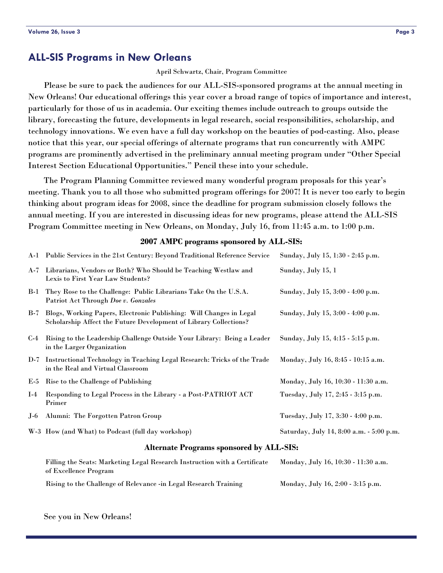### <span id="page-2-0"></span>**ALL-SIS Programs in New Orleans**

#### April Schwartz, Chair, Program Committee

 Please be sure to pack the audiences for our ALL-SIS-sponsored programs at the annual meeting in New Orleans! Our educational offerings this year cover a broad range of topics of importance and interest, particularly for those of us in academia. Our exciting themes include outreach to groups outside the library, forecasting the future, developments in legal research, social responsibilities, scholarship, and technology innovations. We even have a full day workshop on the beauties of pod-casting. Also, please notice that this year, our special offerings of alternate programs that run concurrently with AMPC programs are prominently advertised in the preliminary annual meeting program under "Other Special Interest Section Educational Opportunities." Pencil these into your schedule.

 The Program Planning Committee reviewed many wonderful program proposals for this year's meeting. Thank you to all those who submitted program offerings for 2007! It is never too early to begin thinking about program ideas for 2008, since the deadline for program submission closely follows the annual meeting. If you are interested in discussing ideas for new programs, please attend the ALL-SIS Program Committee meeting in New Orleans, on Monday, July 16, from 11:45 a.m. to 1:00 p.m.

#### **2007 AMPC programs sponsored by ALL-SIS:**

|       | A-1 Public Services in the 21st Century: Beyond Traditional Reference Service                                                                | Sunday, July 15, 1:30 - 2:45 p.m.        |  |  |  |
|-------|----------------------------------------------------------------------------------------------------------------------------------------------|------------------------------------------|--|--|--|
| $A-7$ | Librarians, Vendors or Both? Who Should be Teaching Westlaw and<br>Lexis to First Year Law Students?                                         | Sunday, July 15, 1                       |  |  |  |
|       | B-1 They Rose to the Challenge: Public Librarians Take On the U.S.A.<br>Patriot Act Through Doe v. Gonzales                                  | Sunday, July 15, 3:00 - 4:00 p.m.        |  |  |  |
|       | B-7 Blogs, Working Papers, Electronic Publishing: Will Changes in Legal<br>Scholarship Affect the Future Development of Library Collections? | Sunday, July 15, 3:00 - 4:00 p.m.        |  |  |  |
| $C-4$ | Rising to the Leadership Challenge Outside Your Library: Being a Leader<br>in the Larger Organization                                        | Sunday, July 15, 4:15 - 5:15 p.m.        |  |  |  |
|       | D-7 Instructional Technology in Teaching Legal Research: Tricks of the Trade<br>in the Real and Virtual Classroom                            | Monday, July 16, 8:45 - 10:15 a.m.       |  |  |  |
|       | E-5 Rise to the Challenge of Publishing                                                                                                      | Monday, July 16, 10:30 - 11:30 a.m.      |  |  |  |
| $I-4$ | Responding to Legal Process in the Library - a Post-PATRIOT ACT<br>Primer                                                                    | Tuesday, July 17, 2:45 - 3:15 p.m.       |  |  |  |
|       | J-6 Alumni: The Forgotten Patron Group                                                                                                       | Tuesday, July 17, 3:30 - 4:00 p.m.       |  |  |  |
|       | W-3 How (and What) to Podcast (full day workshop)                                                                                            | Saturday, July 14, 8:00 a.m. - 5:00 p.m. |  |  |  |
|       | <b>Alternate Programs sponsored by ALL-SIS:</b>                                                                                              |                                          |  |  |  |
|       | Filling the Seats: Marketing Legal Research Instruction with a Certificate<br>of Excellence Program                                          | Monday, July 16, 10:30 - 11:30 a.m.      |  |  |  |

Rising to the Challenge of Relevance -in Legal Research Training Monday, July 16, 2:00 - 3:15 p.m.

See you in New Orleans!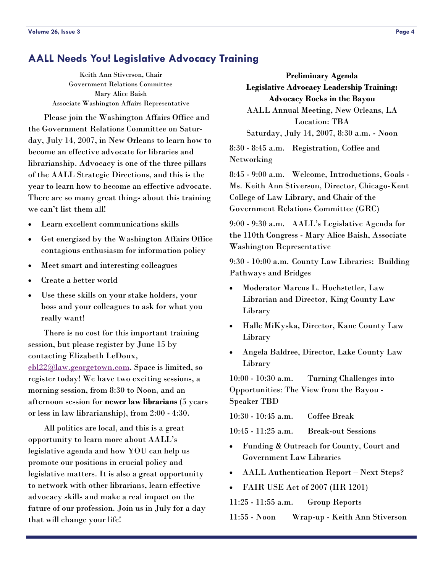### **AALL Needs You! Legislative Advocacy Training**

Keith Ann Stiverson, Chair Government Relations Committee Mary Alice Baish Associate Washington Affairs Representative

 Please join the Washington Affairs Office and the Government Relations Committee on Saturday, July 14, 2007, in New Orleans to learn how to become an effective advocate for libraries and librarianship. Advocacy is one of the three pillars of the AALL Strategic Directions, and this is the year to learn how to become an effective advocate. There are so many great things about this training we can't list them all!

- Learn excellent communications skills
- Get energized by the Washington Affairs Office contagious enthusiasm for information policy
- Meet smart and interesting colleagues
- Create a better world
- Use these skills on your stake holders, your boss and your colleagues to ask for what you really want!

 There is no cost for this important training session, but please register by June 15 by contacting Elizabeth LeDoux, [ebl22@law.georgetown.com](mailto:ebl22@law.georgetown.com). Space is limited, so register today! We have two exciting sessions, a morning session, from 8:30 to Noon, and an afternoon session for **newer law librarians** (5 years or less in law librarianship), from 2:00 - 4:30.

 All politics are local, and this is a great opportunity to learn more about AALL's legislative agenda and how YOU can help us promote our positions in crucial policy and legislative matters. It is also a great opportunity to network with other librarians, learn effective advocacy skills and make a real impact on the future of our profession. Join us in July for a day that will change your life!

**Preliminary Agenda Legislative Advocacy Leadership Training: Advocacy Rocks in the Bayou**  AALL Annual Meeting, New Orleans, LA Location: TBA Saturday, July 14, 2007, 8:30 a.m. - Noon

8:30 - 8:45 a.m. Registration, Coffee and Networking

8:45 - 9:00 a.m. Welcome, Introductions, Goals - Ms. Keith Ann Stiverson, Director, Chicago-Kent College of Law Library, and Chair of the Government Relations Committee (GRC)

9:00 - 9:30 a.m. AALL's Legislative Agenda for the 110th Congress - Mary Alice Baish, Associate Washington Representative

9:30 - 10:00 a.m. County Law Libraries: Building Pathways and Bridges

- Moderator Marcus L. Hochstetler, Law Librarian and Director, King County Law Library
- Halle MiKyska, Director, Kane County Law Library
- Angela Baldree, Director, Lake County Law Library

10:00 - 10:30 a.m. Turning Challenges into Opportunities: The View from the Bayou - Speaker TBD

10:30 - 10:45 a.m. Coffee Break

10:45 - 11:25 a.m. Break-out Sessions

- Funding & Outreach for County, Court and Government Law Libraries
- AALL Authentication Report Next Steps?
- FAIR USE Act of 2007 (HR 1201)

11:25 - 11:55 a.m. Group Reports

11:55 - Noon Wrap-up - Keith Ann Stiverson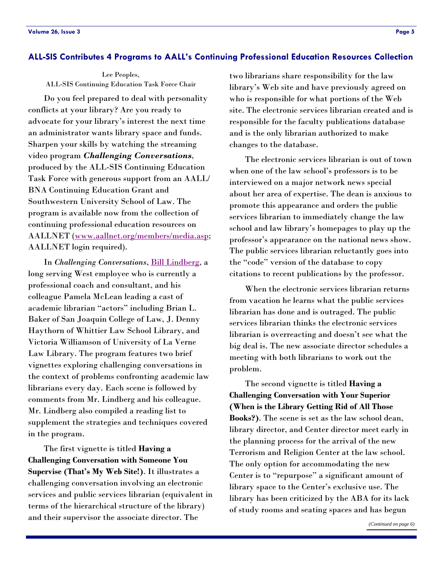#### <span id="page-4-0"></span>**ALL-SIS Contributes 4 Programs to AALL's Continuing Professional Education Resources Collection**

Lee Peoples, ALL-SIS Continuing Education Task Force Chair

 Do you feel prepared to deal with personality conflicts at your library? Are you ready to advocate for your library's interest the next time an administrator wants library space and funds. Sharpen your skills by watching the streaming video program *Challenging Conversations*, produced by the ALL-SIS Continuing Education Task Force with generous support from an AALL/ BNA Continuing Education Grant and Southwestern University School of Law. The program is available now from the collection of continuing professional education resources on AALLNET ([www.aallnet.org/me](http://www.aall.org/prodev/media_show.asp?mnum=9)[mbers/media.asp;](http://www.aallnet.org/members/media.asp) AALLNET login required).

 In *Challenging Conversations*, [Bill Lindberg](http://www.ashgrovegroup.com/), a long serving West employee who is currently a professional coach and consultant, and his colleague Pamela McLean leading a cast of academic librarian "actors" including Brian L. Baker of San Joaquin College of Law, J. Denny Haythorn of Whittier Law School Library, and Victoria Williamson of University of La Verne Law Library. The program features two brief vignettes exploring challenging conversations in the context of problems confronting academic law librarians every day. Each scene is followed by comments from Mr. Lindberg and his colleague. Mr. Lindberg also compiled a reading list to supplement the strategies and techniques covered in the program.

 The first vignette is titled **Having a Challenging Conversation with Someone You Supervise (That's My Web Site!)**. It illustrates a challenging conversation involving an electronic services and public services librarian (equivalent in terms of the hierarchical structure of the library) and their supervisor the associate director. The

two librarians share responsibility for the law library's Web site and have previously agreed on who is responsible for what portions of the Web site. The electronic services librarian created and is responsible for the faculty publications database and is the only librarian authorized to make changes to the database.

 The electronic services librarian is out of town when one of the law school's professors is to be interviewed on a major network news special about her area of expertise. The dean is anxious to promote this appearance and orders the public services librarian to immediately change the law school and law library's homepages to play up the professor's appearance on the national news show. The public services librarian reluctantly goes into the "code" version of the database to copy citations to recent publications by the professor.

 When the electronic services librarian returns from vacation he learns what the public services librarian has done and is outraged. The public services librarian thinks the electronic services librarian is overreacting and doesn't see what the big deal is. The new associate director schedules a meeting with both librarians to work out the problem.

 The second vignette is titled **Having a Challenging Conversation with Your Superior (When is the Library Getting Rid of All Those Books?)**. The scene is set as the law school dean, library director, and Center director meet early in the planning process for the arrival of the new Terrorism and Religion Center at the law school. The only option for accommodating the new Center is to "repurpose" a significant amount of library space to the Center's exclusive use. The library has been criticized by the ABA for its lack of study rooms and seating spaces and has begun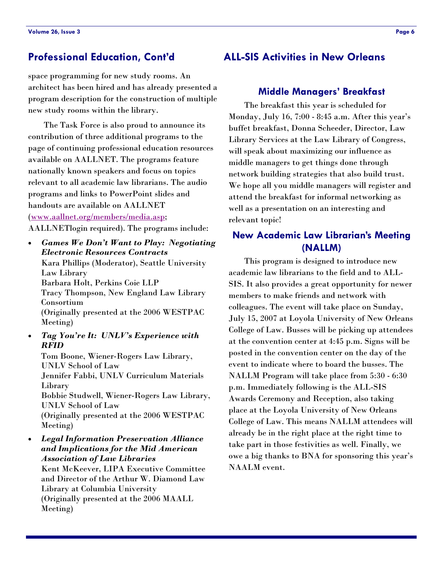space programming for new study rooms. An architect has been hired and has already presented a program description for the construction of multiple new study rooms within the library.

 The Task Force is also proud to announce its contribution of three additional programs to the page of continuing professional education resources available on AALLNET. The programs feature nationally known speakers and focus on topics relevant to all academic law librarians. The audio programs and links to PowerPoint slides and handouts are available on AALLNET ([www.aallnet.org/members/media.asp;](http://www.aallnet.org/members/media.asp)  AALLNETlogin required). The programs include:

• *Games We Don't Want to Play: Negotiating Electronic Resources Contracts* 

Kara Phillips (Moderator), Seattle University Law Library Barbara Holt, Perkins Coie LLP Tracy Thompson, New England Law Library Consortium (Originally presented at the 2006 WESTPAC Meeting)

• *Tag You're It: UNLV's Experience with RFID* 

Tom Boone, Wiener-Rogers Law Library, UNLV School of Law Jennifer Fabbi, UNLV Curriculum Materials Library Bobbie Studwell, Wiener-Rogers Law Library, UNLV School of Law (Originally presented at the 2006 WESTPAC Meeting)

• *Legal Information Preservation Alliance and Implications for the Mid American Association of Law Libraries*  Kent McKeever, LIPA Executive Committee and Director of the Arthur W. Diamond Law

Library at Columbia University (Originally presented at the 2006 MAALL Meeting)

### <span id="page-5-0"></span>**Professional Education, Cont'd ALL-SIS Activities in New Orleans**

### **Middle Managers' Breakfast**

 The breakfast this year is scheduled for Monday, July 16, 7:00 - 8:45 a.m. After this year's buffet breakfast, Donna Scheeder, Director, Law Library Services at the Law Library of Congress, will speak about maximizing our influence as middle managers to get things done through network building strategies that also build trust. We hope all you middle managers will register and attend the breakfast for informal networking as well as a presentation on an interesting and relevant topic!

### **New Academic Law Librarian's Meeting (NALLM)**

 This program is designed to introduce new academic law librarians to the field and to ALL-SIS. It also provides a great opportunity for newer members to make friends and network with colleagues. The event will take place on Sunday, July 15, 2007 at Loyola University of New Orleans College of Law. Busses will be picking up attendees at the convention center at 4:45 p.m. Signs will be posted in the convention center on the day of the event to indicate where to board the busses. The NALLM Program will take place from 5:30 - 6:30 p.m. Immediately following is the ALL-SIS Awards Ceremony and Reception, also taking place at the Loyola University of New Orleans College of Law. This means NALLM attendees will already be in the right place at the right time to take part in those festivities as well. Finally, we owe a big thanks to BNA for sponsoring this year's NAALM event.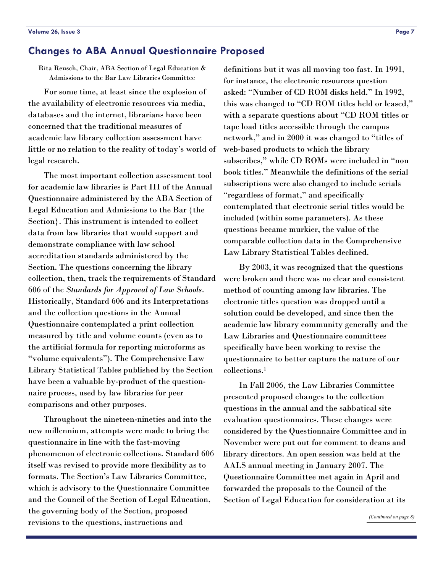### <span id="page-6-0"></span>**Changes to ABA Annual Questionnaire Proposed**

Rita Reusch, Chair, ABA Section of Legal Education & Admissions to the Bar Law Libraries Committee

 For some time, at least since the explosion of the availability of electronic resources via media, databases and the internet, librarians have been concerned that the traditional measures of academic law library collection assessment have little or no relation to the reality of today's world of legal research.

 The most important collection assessment tool for academic law libraries is Part III of the Annual Questionnaire administered by the ABA Section of Legal Education and Admissions to the Bar {the Section}. This instrument is intended to collect data from law libraries that would support and demonstrate compliance with law school accreditation standards administered by the Section. The questions concerning the library collection, then, track the requirements of Standard 606 of the *Standards for Approval of Law Schools*. Historically, Standard 606 and its Interpretations and the collection questions in the Annual Questionnaire contemplated a print collection measured by title and volume counts (even as to the artificial formula for reporting microforms as "volume equivalents"). The Comprehensive Law Library Statistical Tables published by the Section have been a valuable by-product of the questionnaire process, used by law libraries for peer comparisons and other purposes.

 Throughout the nineteen-nineties and into the new millennium, attempts were made to bring the questionnaire in line with the fast-moving phenomenon of electronic collections. Standard 606 itself was revised to provide more flexibility as to formats. The Section's Law Libraries Committee, which is advisory to the Questionnaire Committee and the Council of the Section of Legal Education, the governing body of the Section, proposed revisions to the questions, instructions and

definitions but it was all moving too fast. In 1991, for instance, the electronic resources question asked: "Number of CD ROM disks held." In 1992, this was changed to "CD ROM titles held or leased," with a separate questions about "CD ROM titles or tape load titles accessible through the campus network," and in 2000 it was changed to "titles of web-based products to which the library subscribes," while CD ROMs were included in "non book titles." Meanwhile the definitions of the serial subscriptions were also changed to include serials "regardless of format," and specifically contemplated that electronic serial titles would be included (within some parameters). As these questions became murkier, the value of the comparable collection data in the Comprehensive Law Library Statistical Tables declined.

 By 2003, it was recognized that the questions were broken and there was no clear and consistent method of counting among law libraries. The electronic titles question was dropped until a solution could be developed, and since then the academic law library community generally and the Law Libraries and Questionnaire committees specifically have been working to revise the questionnaire to better capture the nature of our collections.1

 In Fall 2006, the Law Libraries Committee presented proposed changes to the collection questions in the annual and the sabbatical site evaluation questionnaires. These changes were considered by the Questionnaire Committee and in November were put out for comment to deans and library directors. An open session was held at the AALS annual meeting in January 2007. The Questionnaire Committee met again in April and forwarded the proposals to the Council of the Section of Legal Education for consideration at its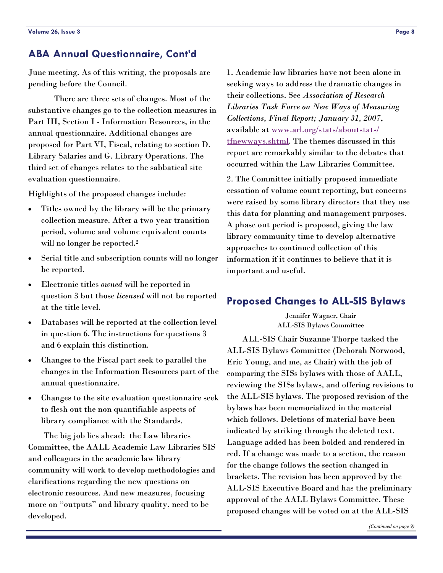### <span id="page-7-0"></span>**ABA Annual Questionnaire, Cont'd**

June meeting. As of this writing, the proposals are pending before the Council.

 There are three sets of changes. Most of the substantive changes go to the collection measures in Part III, Section I - Information Resources, in the annual questionnaire. Additional changes are proposed for Part VI, Fiscal, relating to section D. Library Salaries and G. Library Operations. The third set of changes relates to the sabbatical site evaluation questionnaire.

Highlights of the proposed changes include:

- Titles owned by the library will be the primary collection measure. After a two year transition period, volume and volume equivalent counts will no longer be reported.<sup>2</sup>
- Serial title and subscription counts will no longer be reported.
- Electronic titles *owned* will be reported in question 3 but those *licensed* will not be reported at the title level.
- Databases will be reported at the collection level in question 6. The instructions for questions 3 and 6 explain this distinction.
- Changes to the Fiscal part seek to parallel the changes in the Information Resources part of the annual questionnaire.
- Changes to the site evaluation questionnaire seek to flesh out the non quantifiable aspects of library compliance with the Standards.

 The big job lies ahead: the Law libraries Committee, the AALL Academic Law Libraries SIS and colleagues in the academic law library community will work to develop methodologies and clarifications regarding the new questions on electronic resources. And new measures, focusing more on "outputs" and library quality, need to be developed.

1. Academic law libraries have not been alone in seeking ways to address the dramatic changes in their collections. See *Association of Research Libraries Task Force on New Ways of Measuring Collections, Final Report; January 31, 2007*, available at [www.arl.org/stats/aboutstats/](http://www.arl.org/stats/aboutstats/tfnewways.shtml) [tfnewways.shtml](http://www.arl.org/stats/aboutstats/tfnewways.shtml). The themes discussed in this report are remarkably similar to the debates that occurred within the Law Libraries Committee.

2. The Committee initially proposed immediate cessation of volume count reporting, but concerns were raised by some library directors that they use this data for planning and management purposes. A phase out period is proposed, giving the law library community time to develop alternative approaches to continued collection of this information if it continues to believe that it is important and useful.

### **Proposed Changes to ALL-SIS Bylaws**

Jennifer Wagner, Chair ALL-SIS Bylaws Committee

 ALL-SIS Chair Suzanne Thorpe tasked the ALL-SIS Bylaws Committee (Deborah Norwood, Eric Young, and me, as Chair) with the job of comparing the SISs bylaws with those of AALL, reviewing the SISs bylaws, and offering revisions to the ALL-SIS bylaws. The proposed revision of the bylaws has been memorialized in the material which follows. Deletions of material have been indicated by striking through the deleted text. Language added has been bolded and rendered in red. If a change was made to a section, the reason for the change follows the section changed in brackets. The revision has been approved by the ALL-SIS Executive Board and has the preliminary approval of the AALL Bylaws Committee. These proposed changes will be voted on at the ALL-SIS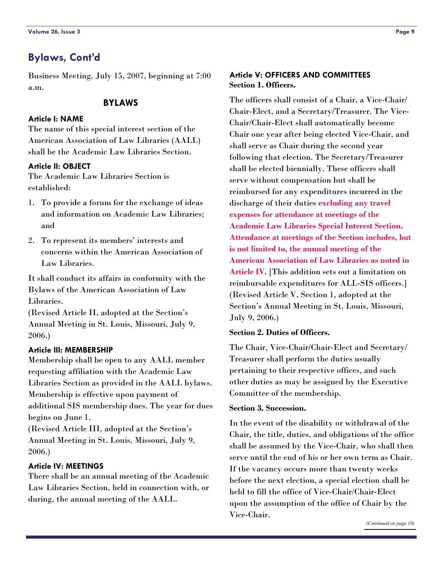### <span id="page-8-0"></span>**Bylaws, Cont'd**

Business Meeting, July 15, 2007, beginning at 7:00 a.m.

#### **BYLAWS**

### **Article I: NAME**

The name of this special interest section of the American Association of Law Libraries (AALL) shall be the Academic Law Libraries Section.

#### **Article II: OBJECT**

The Academic Law Libraries Section is established:

- 1. To provide a forum for the exchange of ideas and information on Academic Law Libraries; and
- 2. To represent its members' interests and concerns within the American Association of Law Libraries.

It shall conduct its affairs in conformity with the Bylaws of the American Association of Law Libraries.

(Revised Article II, adopted at the Section's Annual Meeting in St. Louis, Missouri, July 9, 2006.)

#### **Article III: MEMBERSHIP**

Membership shall be open to any AALL member requesting affiliation with the Academic Law Libraries Section as provided in the AALL bylaws. Membership is effective upon payment of additional SIS membership dues. The year for dues begins on June 1.

(Revised Article III, adopted at the Section's Annual Meeting in St. Louis, Missouri, July 9, 2006.)

#### **Article IV: MEETINGS**

There shall be an annual meeting of the Academic Law Libraries Section, held in connection with, or during, the annual meeting of the AALL.

### **Article V: OFFICERS AND COMMITTEES Section 1. Officers.**

The officers shall consist of a Chair, a Vice-Chair/ Chair-Elect, and a Secretary/Treasurer. The Vice-Chair/Chair-Elect shall automatically become Chair one year after being elected Vice-Chair, and shall serve as Chair during the second year following that election. The Secretary/Treasurer shall be elected biennially. These officers shall serve without compensation but shall be reimbursed for any expenditures incurred in the discharge of their duties **excluding any travel expenses for attendance at meetings of the Academic Law Libraries Special Interest Section. Attendance at meetings of the Section includes, but is not limited to, the annual meeting of the American Association of Law Libraries as noted in Article IV.** [This addition sets out a limitation on reimbursable expenditures for ALL-SIS officers.] (Revised Article V, Section 1, adopted at the Section's Annual Meeting in St. Louis, Missouri, July 9, 2006.)

#### **Section 2. Duties of Officers.**

The Chair, Vice-Chair/Chair-Elect and Secretary/ Treasurer shall perform the duties usually pertaining to their respective offices, and such other duties as may be assigned by the Executive Committee of the membership.

#### **Section 3. Succession.**

In the event of the disability or withdrawal of the Chair, the title, duties, and obligations of the office shall be assumed by the Vice-Chair, who shall then serve until the end of his or her own term as Chair. If the vacancy occurs more than twenty weeks before the next election, a special election shall be held to fill the office of Vice-Chair/Chair-Elect upon the assumption of the office of Chair by the Vice-Chair.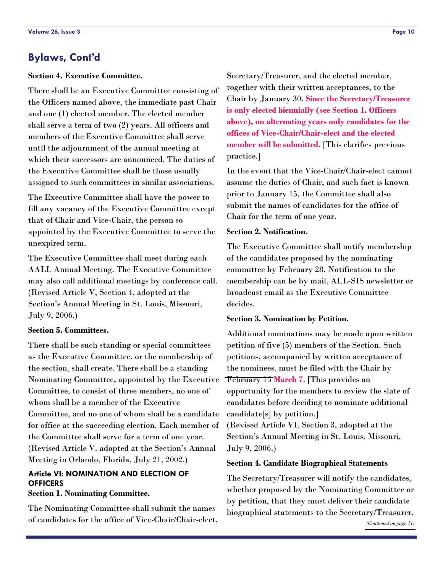### <span id="page-9-0"></span>**Bylaws, Cont'd**

#### **Section 4. Executive Committee.**

There shall be an Executive Committee consisting of the Officers named above, the immediate past Chair and one (1) elected member. The elected member shall serve a term of two (2) years. All officers and members of the Executive Committee shall serve until the adjournment of the annual meeting at which their successors are announced. The duties of the Executive Committee shall be those usually assigned to such committees in similar associations.

The Executive Committee shall have the power to fill any vacancy of the Executive Committee except that of Chair and Vice-Chair, the person so appointed by the Executive Committee to serve the unexpired term.

The Executive Committee shall meet during each AALL Annual Meeting. The Executive Committee may also call additional meetings by conference call. (Revised Article V, Section 4, adopted at the Section's Annual Meeting in St. Louis, Missouri, July 9, 2006.)

#### **Section 5. Committees.**

There shall be such standing or special committees as the Executive Committee, or the membership of the section, shall create. There shall be a standing Nominating Committee, appointed by the Executive Committee, to consist of three members, no one of whom shall be a member of the Executive Committee, and no one of whom shall be a candidate for office at the succeeding election. Each member of the Committee shall serve for a term of one year. (Revised Article V. adopted at the Section's Annual Meeting in Orlando, Florida, July 21, 2002.)

### **Article VI: NOMINATION AND ELECTION OF OFFICERS**

#### **Section 1. Nominating Committee.**

The Nominating Committee shall submit the names of candidates for the office of Vice-Chair/Chair-elect, Secretary/Treasurer, and the elected member, together with their written acceptances, to the Chair by January 30. **Since the Secretary/Treasurer is only elected biennially (see Section 1. Officers above), on alternating years only candidates for the offices of Vice-Chair/Chair-elect and the elected member will be submitted.** [This clarifies previous practice.]

In the event that the Vice-Chair/Chair-elect cannot assume the duties of Chair, and such fact is known prior to January 15, the Committee shall also submit the names of candidates for the office of Chair for the term of one year.

### **Section 2. Notification.**

The Executive Committee shall notify membership of the candidates proposed by the nominating committee by February 28. Notification to the membership can be by mail, ALL-SIS newsletter or broadcast email as the Executive Committee decides.

#### **Section 3. Nomination by Petition.**

Additional nominations may be made upon written petition of five (5) members of the Section. Such petitions, accompanied by written acceptance of the nominees, must be filed with the Chair by February 15 **March 7**. [This provides an opportunity for the members to review the slate of candidates before deciding to nominate additional candidate[s] by petition.]

(Revised Article VI, Section 3, adopted at the Section's Annual Meeting in St. Louis, Missouri, July 9, 2006.)

#### **Section 4. Candidate Biographical Statements**

The Secretary/Treasurer will notify the candidates, whether proposed by the Nominating Committee or by petition, that they must deliver their candidate biographical statements to the Secretary/Treasurer,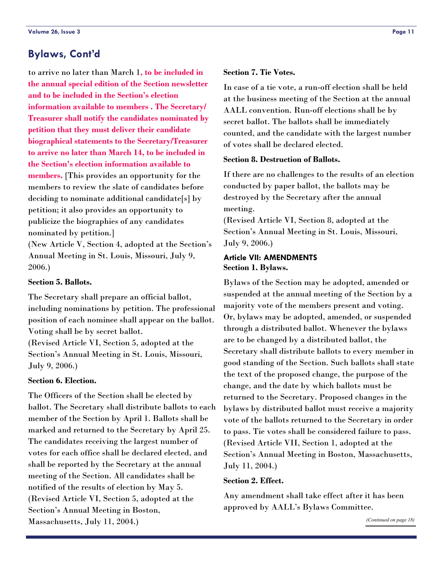### <span id="page-10-0"></span>**Bylaws, Cont'd**

to arrive no later than March 1**, to be included in the annual special edition of the Section newsletter and to be included in the Section's election information available to members . The Secretary/ Treasurer shall notify the candidates nominated by petition that they must deliver their candidate biographical statements to the Secretary/Treasurer to arrive no later than March 14, to be included in the Section's election information available to members.** [This provides an opportunity for the members to review the slate of candidates before deciding to nominate additional candidate[s] by petition; it also provides an opportunity to publicize the biographies of any candidates nominated by petition.]

(New Article V, Section 4, adopted at the Section's Annual Meeting in St. Louis, Missouri, July 9, 2006.)

#### **Section 5. Ballots.**

The Secretary shall prepare an official ballot, including nominations by petition. The professional position of each nominee shall appear on the ballot. Voting shall be by secret ballot.

(Revised Article VI, Section 5, adopted at the Section's Annual Meeting in St. Louis, Missouri, July 9, 2006.)

#### **Section 6. Election.**

The Officers of the Section shall be elected by ballot. The Secretary shall distribute ballots to each member of the Section by April 1. Ballots shall be marked and returned to the Secretary by April 25. The candidates receiving the largest number of votes for each office shall be declared elected, and shall be reported by the Secretary at the annual meeting of the Section. All candidates shall be notified of the results of election by May 5. (Revised Article VI, Section 5, adopted at the Section's Annual Meeting in Boston, Massachusetts, July 11, 2004.)

### **Section 7. Tie Votes.**

In case of a tie vote, a run-off election shall be held at the business meeting of the Section at the annual AALL convention. Run-off elections shall be by secret ballot. The ballots shall be immediately counted, and the candidate with the largest number of votes shall be declared elected.

#### **Section 8. Destruction of Ballots.**

If there are no challenges to the results of an election conducted by paper ballot, the ballots may be destroyed by the Secretary after the annual meeting.

(Revised Article VI, Section 8, adopted at the Section's Annual Meeting in St. Louis, Missouri, July 9, 2006.)

### **Article VII: AMENDMENTS Section 1. Bylaws.**

Bylaws of the Section may be adopted, amended or suspended at the annual meeting of the Section by a majority vote of the members present and voting. Or, bylaws may be adopted, amended, or suspended through a distributed ballot. Whenever the bylaws are to be changed by a distributed ballot, the Secretary shall distribute ballots to every member in good standing of the Section. Such ballots shall state the text of the proposed change, the purpose of the change, and the date by which ballots must be returned to the Secretary. Proposed changes in the bylaws by distributed ballot must receive a majority vote of the ballots returned to the Secretary in order to pass. Tie votes shall be considered failure to pass. (Revised Article VII, Section 1, adopted at the Section's Annual Meeting in Boston, Massachusetts, July 11, 2004.)

#### **Section 2. Effect.**

Any amendment shall take effect after it has been approved by AALL's Bylaws Committee.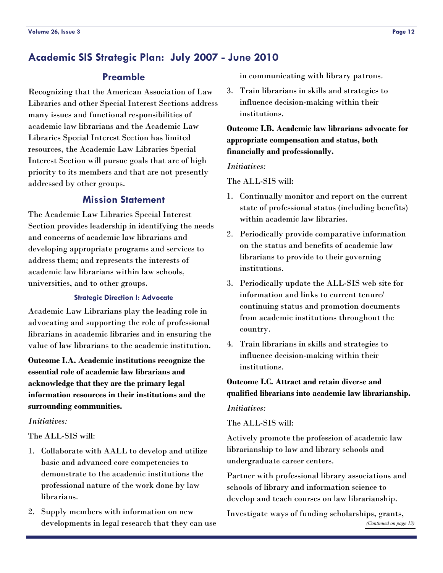### <span id="page-11-0"></span>**Academic SIS Strategic Plan: July 2007 - June 2010**

### **Preamble**

Recognizing that the American Association of Law Libraries and other Special Interest Sections address many issues and functional responsibilities of academic law librarians and the Academic Law Libraries Special Interest Section has limited resources, the Academic Law Libraries Special Interest Section will pursue goals that are of high priority to its members and that are not presently addressed by other groups.

### **Mission Statement**

The Academic Law Libraries Special Interest Section provides leadership in identifying the needs and concerns of academic law librarians and developing appropriate programs and services to address them; and represents the interests of academic law librarians within law schools, universities, and to other groups.

#### **Strategic Direction I: Advocate**

Academic Law Librarians play the leading role in advocating and supporting the role of professional librarians in academic libraries and in ensuring the value of law librarians to the academic institution.

**Outcome I.A. Academic institutions recognize the essential role of academic law librarians and acknowledge that they are the primary legal information resources in their institutions and the surrounding communities.** 

#### *Initiatives:*

#### The ALL-SIS will:

- 1. Collaborate with AALL to develop and utilize basic and advanced core competencies to demonstrate to the academic institutions the professional nature of the work done by law librarians.
- 2. Supply members with information on new developments in legal research that they can use

in communicating with library patrons.

3. Train librarians in skills and strategies to influence decision-making within their institutions.

**Outcome I.B. Academic law librarians advocate for appropriate compensation and status, both financially and professionally.** 

#### *Initiatives:*

The ALL-SIS will:

- 1. Continually monitor and report on the current state of professional status (including benefits) within academic law libraries.
- 2. Periodically provide comparative information on the status and benefits of academic law librarians to provide to their governing institutions.
- 3. Periodically update the ALL-SIS web site for information and links to current tenure/ continuing status and promotion documents from academic institutions throughout the country.
- 4. Train librarians in skills and strategies to influence decision-making within their institutions.

### **Outcome I.C. Attract and retain diverse and qualified librarians into academic law librarianship.**

#### *Initiatives:*

#### The ALL-SIS will:

Actively promote the profession of academic law librarianship to law and library schools and undergraduate career centers.

Partner with professional library associations and schools of library and information science to develop and teach courses on law librarianship.

Investigate ways of funding scholarships, grants, *[\(Continued on page 13\)](#page-12-0)*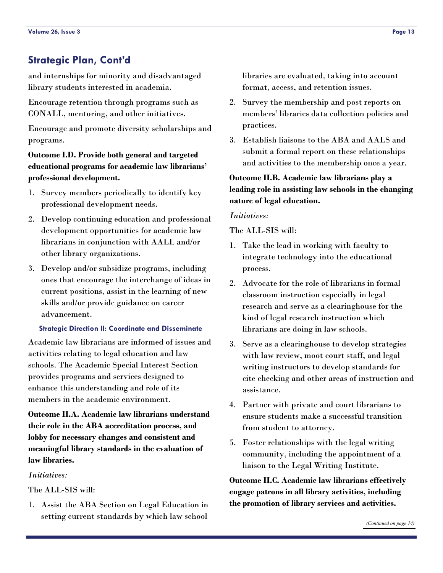### <span id="page-12-0"></span>**Strategic Plan, Cont'd**

and internships for minority and disadvantaged library students interested in academia.

Encourage retention through programs such as CONALL, mentoring, and other initiatives.

Encourage and promote diversity scholarships and programs.

### **Outcome I.D. Provide both general and targeted educational programs for academic law librarians' professional development.**

- 1. Survey members periodically to identify key professional development needs.
- 2. Develop continuing education and professional development opportunities for academic law librarians in conjunction with AALL and/or other library organizations.
- 3. Develop and/or subsidize programs, including ones that encourage the interchange of ideas in current positions, assist in the learning of new skills and/or provide guidance on career advancement.

#### **Strategic Direction II: Coordinate and Disseminate**

Academic law librarians are informed of issues and activities relating to legal education and law schools. The Academic Special Interest Section provides programs and services designed to enhance this understanding and role of its members in the academic environment.

### **Outcome II.A. Academic law librarians understand their role in the ABA accreditation process, and lobby for necessary changes and consistent and meaningful library standards in the evaluation of law libraries.**

#### *Initiatives:*

The ALL-SIS will:

1. Assist the ABA Section on Legal Education in setting current standards by which law school libraries are evaluated, taking into account format, access, and retention issues.

- 2. Survey the membership and post reports on members' libraries data collection policies and practices.
- 3. Establish liaisons to the ABA and AALS and submit a formal report on these relationships and activities to the membership once a year.

### **Outcome II.B. Academic law librarians play a leading role in assisting law schools in the changing nature of legal education.**

#### *Initiatives:*

The ALL-SIS will:

- 1. Take the lead in working with faculty to integrate technology into the educational process.
- 2. Advocate for the role of librarians in formal classroom instruction especially in legal research and serve as a clearinghouse for the kind of legal research instruction which librarians are doing in law schools.
- 3. Serve as a clearinghouse to develop strategies with law review, moot court staff, and legal writing instructors to develop standards for cite checking and other areas of instruction and assistance.
- 4. Partner with private and court librarians to ensure students make a successful transition from student to attorney.
- 5. Foster relationships with the legal writing community, including the appointment of a liaison to the Legal Writing Institute.

**Outcome II.C. Academic law librarians effectively engage patrons in all library activities, including the promotion of library services and activities.**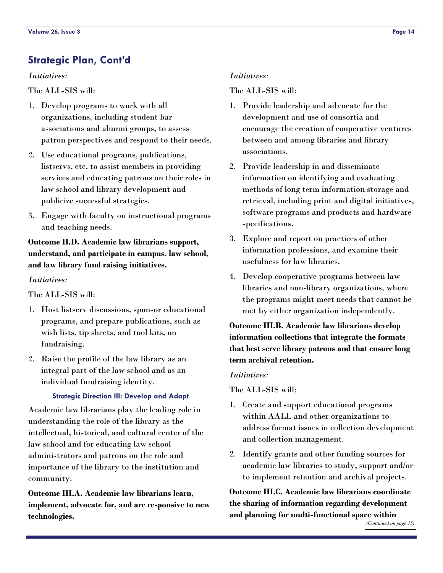### <span id="page-13-0"></span>**Strategic Plan, Cont'd**

### *Initiatives:*

### The ALL-SIS will:

- 1. Develop programs to work with all organizations, including student bar associations and alumni groups, to assess patron perspectives and respond to their needs.
- 2. Use educational programs, publications, listservs, etc. to assist members in providing services and educating patrons on their roles in law school and library development and publicize successful strategies.
- 3. Engage with faculty on instructional programs and teaching needs.

### **Outcome II.D. Academic law librarians support, understand, and participate in campus, law school, and law library fund raising initiatives.**

### *Initiatives:*

The ALL-SIS will:

- 1. Host listserv discussions, sponsor educational programs, and prepare publications, such as wish lists, tip sheets, and tool kits, on fundraising.
- 2. Raise the profile of the law library as an integral part of the law school and as an individual fundraising identity.

### **Strategic Direction III: Develop and Adapt**

Academic law librarians play the leading role in understanding the role of the library as the intellectual, historical, and cultural center of the law school and for educating law school administrators and patrons on the role and importance of the library to the institution and community.

**Outcome III.A. Academic law librarians learn, implement, advocate for, and are responsive to new technologies.** 

#### *Initiatives:*

#### The ALL-SIS will:

- 1. Provide leadership and advocate for the development and use of consortia and encourage the creation of cooperative ventures between and among libraries and library associations.
- 2. Provide leadership in and disseminate information on identifying and evaluating methods of long term information storage and retrieval, including print and digital initiatives, software programs and products and hardware specifications.
- 3. Explore and report on practices of other information professions, and examine their usefulness for law libraries.
- 4. Develop cooperative programs between law libraries and non-library organizations, where the programs might meet needs that cannot be met by either organization independently.

**Outcome III.B. Academic law librarians develop information collections that integrate the formats that best serve library patrons and that ensure long term archival retention.** 

#### *Initiatives:*

The ALL-SIS will:

- 1. Create and support educational programs within AALL and other organizations to address format issues in collection development and collection management.
- 2. Identify grants and other funding sources for academic law libraries to study, support and/or to implement retention and archival projects.

**Outcome III.C. Academic law librarians coordinate the sharing of information regarding development and planning for multi-functional space within**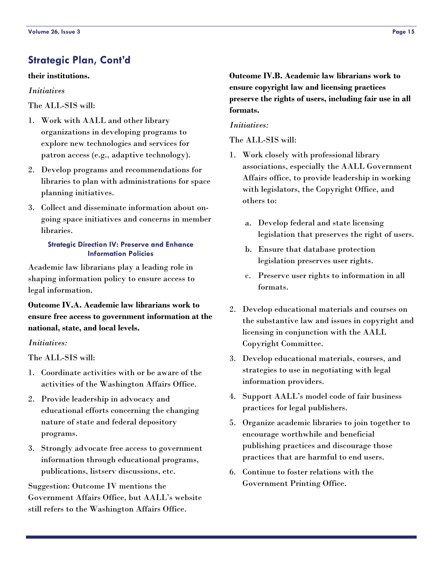### <span id="page-14-0"></span>**Strategic Plan, Cont'd**

#### **their institutions.**

#### *Initiatives*

The ALL-SIS will:

- 1. Work with AALL and other library organizations in developing programs to explore new technologies and services for patron access (e.g., adaptive technology).
- 2. Develop programs and recommendations for libraries to plan with administrations for space planning initiatives.
- 3. Collect and disseminate information about ongoing space initiatives and concerns in member libraries.

#### **Strategic Direction IV: Preserve and Enhance Information Policies**

Academic law librarians play a leading role in shaping information policy to ensure access to legal information.

**Outcome IV.A. Academic law librarians work to ensure free access to government information at the national, state, and local levels.** 

#### *Initiatives:*

The ALL-SIS will:

- 1. Coordinate activities with or be aware of the activities of the Washington Affairs Office.
- 2. Provide leadership in advocacy and educational efforts concerning the changing nature of state and federal depository programs.
- 3. Strongly advocate free access to government information through educational programs, publications, listserv discussions, etc.

Suggestion: Outcome IV mentions the Government Affairs Office, but AALL's website still refers to the Washington Affairs Office.

**Outcome IV.B. Academic law librarians work to ensure copyright law and licensing practices preserve the rights of users, including fair use in all formats.** 

#### *Initiatives:*

The ALL-SIS will:

- 1. Work closely with professional library associations, especially the AALL Government Affairs office, to provide leadership in working with legislators, the Copyright Office, and others to:
	- a. Develop federal and state licensing legislation that preserves the right of users.
	- b. Ensure that database protection legislation preserves user rights.
	- c. Preserve user rights to information in all formats.
- 2. Develop educational materials and courses on the substantive law and issues in copyright and licensing in conjunction with the AALL Copyright Committee.
- 3. Develop educational materials, courses, and strategies to use in negotiating with legal information providers.
- 4. Support AALL's model code of fair business practices for legal publishers.
- 5. Organize academic libraries to join together to encourage worthwhile and beneficial publishing practices and discourage those practices that are harmful to end users.
- 6. Continue to foster relations with the Government Printing Office.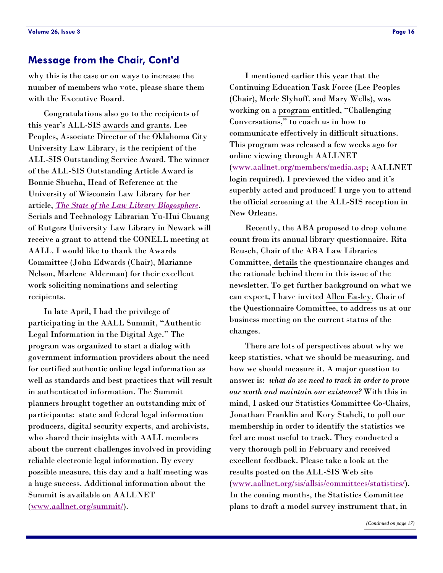### <span id="page-15-0"></span>**Message from the Chair, Cont'd**

why this is the case or on ways to increase the number of members who vote, please share them with the Executive Board.

 Congratulations also go to the recipients of this year's ALL-SIS [awards and grants.](#page-17-0) Lee Peoples, Associate Director of the Oklahoma City University Law Library, is the recipient of the ALL-SIS Outstanding Service Award. The winner of the ALL-SIS Outstanding Article Award is Bonnie Shucha, Head of Reference at the University of Wisconsin Law Library for her article, *[The State of the Law Library Blogosphere](http://www.llrx.com/features/blogosphere.htm)*. Serials and Technology Librarian Yu-Hui Chuang of Rutgers University Law Library in Newark will receive a grant to attend the CONELL meeting at AALL. I would like to thank the Awards Committee (John Edwards (Chair), Marianne Nelson, Marlene Alderman) for their excellent work soliciting nominations and selecting recipients.

 In late April, I had the privilege of participating in the AALL Summit, "Authentic Legal Information in the Digital Age." The program was organized to start a dialog with government information providers about the need for certified authentic online legal information as well as standards and best practices that will result in authenticated information. The Summit planners brought together an outstanding mix of participants: state and federal legal information producers, digital security experts, and archivists, who shared their insights with AALL members about the current challenges involved in providing reliable electronic legal information. By every possible measure, this day and a half meeting was a huge success. Additional information about the Summit is available on AALLNET ([www.aallnet.org/summit/](http://www.aallnet.org/summit/default.asp)).

 I mentioned earlier this year that the Continuing Education Task Force (Lee Peoples (Chair), Merle Slyhoff, and Mary Wells), was working on a [program](#page-4-0) entitled, "Challenging Conversations," to coach us in how to communicate effectively in difficult situations. This program was released a few weeks ago for online viewing through AALLNET ([www.aallnet.org/members/media.asp; AAL](http://www.aallnet.org/prodev/media_show.asp?mnum=9)LNET login required). I previewed the video and it's superbly acted and produced! I urge you to attend the official screening at the ALL-SIS reception in New Orleans.

 Recently, the ABA proposed to drop volume count from its annual library questionnaire. Rita Reusch, Chair of the ABA Law Libraries Committee, [details](#page-6-0) the questionnaire changes and the rationale behind them in this issue of the newsletter. To get further background on what we can expect, I have invited [Allen Easley,](#page-1-0) Chair of the Questionnaire Committee, to address us at our business meeting on the current status of the changes.

 There are lots of perspectives about why we keep statistics, what we should be measuring, and how we should measure it. A major question to answer is: *what do we need to track in order to prove our worth and maintain our existence?* With this in mind, I asked our Statistics Committee Co-Chairs, Jonathan Franklin and Kory Staheli, to poll our membership in order to identify the statistics we feel are most useful to track. They conducted a very thorough poll in February and received excellent feedback. Please take a look at the results posted on the ALL-SIS Web site ([www.aallnet.org/sis/allsis/committees/statistics/](http://www.aallnet.org/sis/allsis/committees/statistics/index.asp)). In the coming months, the Statistics Committee plans to draft a model survey instrument that, in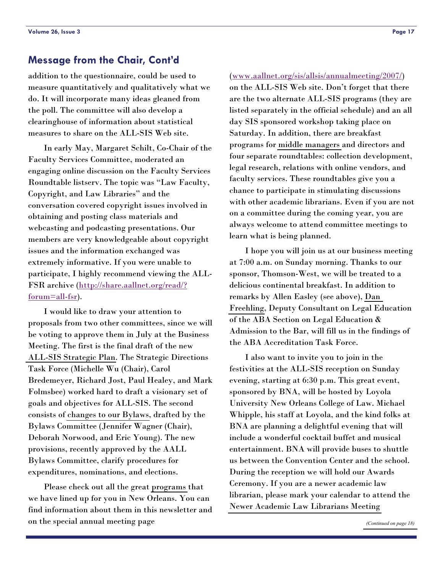### <span id="page-16-0"></span>**Message from the Chair, Cont'd**

addition to the questionnaire, could be used to measure quantitatively and qualitatively what we do. It will incorporate many ideas gleaned from the poll. The committee will also develop a clearinghouse of information about statistical measures to share on the ALL-SIS Web site.

 In early May, Margaret Schilt, Co-Chair of the Faculty Services Committee, moderated an engaging online discussion on the Faculty Services Roundtable listserv. The topic was "Law Faculty, Copyright, and Law Libraries" and the conversation covered copyright issues involved in obtaining and posting class materials and webcasting and podcasting presentations. Our members are very knowledgeable about copyright issues and the information exchanged was extremely informative. If you were unable to participate, I highly recommend viewing the ALL-FSR archive [\(http://share.aallnet.org/read/?](http://share.aallnet.org/read/?forum=all-fsr)  $f_{\rm{orum}}=all-f_{\rm{sr}}.$ 

 I would like to draw your attention to proposals from two other committees, since we will be voting to approve them in July at the Business Meeting. The first is the final draft of the new [ALL-SIS Strategic Plan.](#page-11-0) The Strategic Directions Task Force (Michelle Wu (Chair), Carol Bredemeyer, Richard Jost, Paul Healey, and Mark Folmsbee) worked hard to draft a visionary set of goals and objectives for ALL-SIS. The second consists of [changes to our Bylaws,](#page-7-0) drafted by the Bylaws Committee (Jennifer Wagner (Chair), Deborah Norwood, and Eric Young). The new provisions, recently approved by the AALL Bylaws Committee, clarify procedures for expenditures, nominations, and elections.

 Please check out all the great [programs](#page-2-0) that we have lined up for you in New Orleans. You can find information about them in this newsletter and on the special annual meeting page

#### ([www.aallnet.org/sis/allsis/annualmeeting/2007/](http://www.aallnet.org/sis/allsis/annualmeeting/2007/index.htm))

on the ALL-SIS Web site. Don't forget that there are the two alternate ALL-SIS programs (they are listed separately in the official schedule) and an all day SIS sponsored workshop taking place on Saturday. In addition, there are breakfast programs for [middle managers](#page-5-0) and directors and four separate roundtables: collection development, legal research, relations with online vendors, and faculty services. These roundtables give you a chance to participate in stimulating discussions with other academic librarians. Even if you are not on a committee during the coming year, you are always welcome to attend committee meetings to learn what is being planned.

 I hope you will join us at our business meeting at 7:00 a.m. on Sunday morning. Thanks to our sponsor, Thomson-West, we will be treated to a delicious continental breakfast. In addition to remarks by Allen Easley (see above), [Dan](#page-1-0)  [Freehling,](#page-1-0) Deputy Consultant on Legal Education of the ABA Section on Legal Education & Admission to the Bar, will fill us in the findings of the ABA Accreditation Task Force.

 I also want to invite you to join in the festivities at the ALL-SIS reception on Sunday evening, starting at 6:30 p.m. This great event, sponsored by BNA, will be hosted by Loyola University New Orleans College of Law. Michael Whipple, his staff at Loyola, and the kind folks at BNA are planning a delightful evening that will include a wonderful cocktail buffet and musical entertainment. BNA will provide buses to shuttle us between the Convention Center and the school. During the reception we will hold our Awards Ceremony. If you are a newer academic law librarian, please mark your calendar to attend the [Newer Academic Law Librarians Meeting](#page-5-0)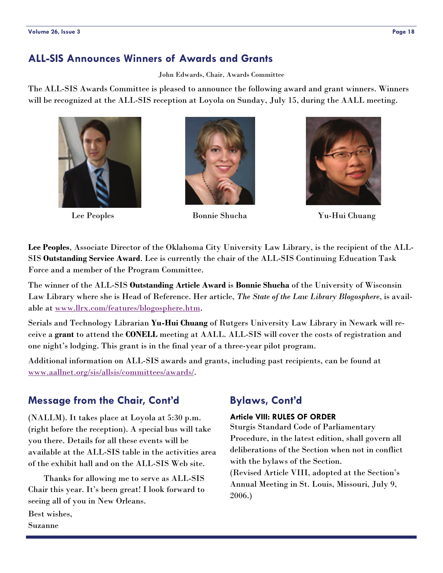### <span id="page-17-0"></span>**ALL-SIS Announces Winners of Awards and Grants**

John Edwards, Chair, Awards Committee

The ALL-SIS Awards Committee is pleased to announce the following award and grant winners. Winners will be recognized at the ALL-SIS reception at Loyola on Sunday, July 15, during the AALL meeting.







Lee Peoples Bonnie Shucha Yu-Hui Chuang

**Lee Peoples**, Associate Director of the Oklahoma City University Law Library, is the recipient of the ALL-SIS **Outstanding Service Award**. Lee is currently the chair of the ALL-SIS Continuing Education Task Force and a member of the Program Committee.

The winner of the ALL-SIS **Outstanding Article Award** is **Bonnie Shucha** of the University of Wisconsin Law Library where she is Head of Reference. Her article, *The State of the Law Library Blogosphere*, is available at [www.llrx.com/features/blogosphere.htm](http://www.llrx.com/features/blogosphere.htm).

Serials and Technology Librarian **Yu-Hui Chuang** of Rutgers University Law Library in Newark will receive a **grant** to attend the **CONELL** meeting at AALL. ALL-SIS will cover the costs of registration and one night's lodging. This grant is in the final year of a three-year pilot program.

Additional information on ALL-SIS awards and grants, including past recipients, can be found at [www.aallnet.org/sis/allsis/committees/awards/](http://www.aallnet.org/sis/allsis/committees/awards/).

### **Message from the Chair, Cont'd**

(NALLM). It takes place at Loyola at 5:30 p.m. (right before the reception). A special bus will take you there. Details for all these events will be available at the ALL-SIS table in the activities area of the exhibit hall and on the ALL-SIS Web site.

 Thanks for allowing me to serve as ALL-SIS Chair this year. It's been great! I look forward to seeing all of you in New Orleans.

Best wishes, Suzanne

## **Bylaws, Cont'd**

### **Article VIII: RULES OF ORDER**

Sturgis Standard Code of Parliamentary Procedure, in the latest edition, shall govern all deliberations of the Section when not in conflict with the bylaws of the Section.

(Revised Article VIII, adopted at the Section's Annual Meeting in St. Louis, Missouri, July 9, 2006.)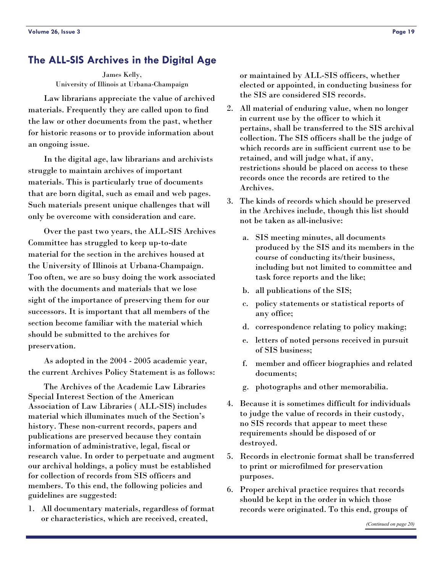### <span id="page-18-0"></span>**The ALL-SIS Archives in the Digital Age**

James Kelly, University of Illinois at Urbana-Champaign

 Law librarians appreciate the value of archived materials. Frequently they are called upon to find the law or other documents from the past, whether for historic reasons or to provide information about an ongoing issue.

 In the digital age, law librarians and archivists struggle to maintain archives of important materials. This is particularly true of documents that are born digital, such as email and web pages. Such materials present unique challenges that will only be overcome with consideration and care.

 Over the past two years, the ALL-SIS Archives Committee has struggled to keep up-to-date material for the section in the archives housed at the University of Illinois at Urbana-Champaign. Too often, we are so busy doing the work associated with the documents and materials that we lose sight of the importance of preserving them for our successors. It is important that all members of the section become familiar with the material which should be submitted to the archives for preservation.

 As adopted in the 2004 - 2005 academic year, the current Archives Policy Statement is as follows:

 The Archives of the Academic Law Libraries Special Interest Section of the American Association of Law Libraries ( ALL-SIS) includes material which illuminates much of the Section's history. These non-current records, papers and publications are preserved because they contain information of administrative, legal, fiscal or research value. In order to perpetuate and augment our archival holdings, a policy must be established for collection of records from SIS officers and members. To this end, the following policies and guidelines are suggested:

1. All documentary materials, regardless of format or characteristics, which are received, created,

or maintained by ALL-SIS officers, whether elected or appointed, in conducting business for the SIS are considered SIS records.

- 2. All material of enduring value, when no longer in current use by the officer to which it pertains, shall be transferred to the SIS archival collection. The SIS officers shall be the judge of which records are in sufficient current use to be retained, and will judge what, if any, restrictions should be placed on access to these records once the records are retired to the Archives.
- 3. The kinds of records which should be preserved in the Archives include, though this list should not be taken as all-inclusive:
	- a. SIS meeting minutes, all documents produced by the SIS and its members in the course of conducting its/their business, including but not limited to committee and task force reports and the like;
	- b. all publications of the SIS;
	- c. policy statements or statistical reports of any office;
	- d. correspondence relating to policy making;
	- e. letters of noted persons received in pursuit of SIS business;
	- f. member and officer biographies and related documents;
	- g. photographs and other memorabilia.
- 4. Because it is sometimes difficult for individuals to judge the value of records in their custody, no SIS records that appear to meet these requirements should be disposed of or destroyed.
- 5. Records in electronic format shall be transferred to print or microfilmed for preservation purposes.
- 6. Proper archival practice requires that records should be kept in the order in which those records were originated. To this end, groups of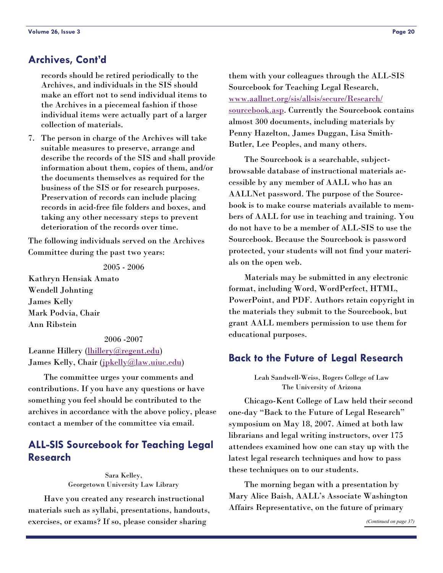### <span id="page-19-0"></span>**Archives, Cont'd**

records should be retired periodically to the Archives, and individuals in the SIS should make an effort not to send individual items to the Archives in a piecemeal fashion if those individual items were actually part of a larger collection of materials.

7. The person in charge of the Archives will take suitable measures to preserve, arrange and describe the records of the SIS and shall provide information about them, copies of them, and/or the documents themselves as required for the business of the SIS or for research purposes. Preservation of records can include placing records in acid-free file folders and boxes, and taking any other necessary steps to prevent deterioration of the records over time.

The following individuals served on the Archives Committee during the past two years:

2005 - 2006

Kathryn Hensiak Amato Wendell Johnting James Kelly Mark Podvia, Chair Ann Ribstein

#### 2006 -2007

Leanne Hillery (*[lhillery@regent.edu](mailto:lhillery@regent.edu)*) James Kelly, Chair ([jpkelly@law.uiuc.edu](mailto:jpkelly@law.uiuc.edu))

 The committee urges your comments and contributions. If you have any questions or have something you feel should be contributed to the archives in accordance with the above policy, please contact a member of the committee via email.

### **ALL-SIS Sourcebook for Teaching Legal Research**

Sara Kelley, Georgetown University Law Library

 Have you created any research instructional materials such as syllabi, presentations, handouts, exercises, or exams? If so, please consider sharing

them with your colleagues through the ALL-SIS Sourcebook for Teaching Legal Research, [www.aallnet.org/sis/allsis/secure/Research/](http://www.aallnet.org/sis/allsis/secure/Research/sourcebook.asp) [sourcebook.asp](http://www.aallnet.org/sis/allsis/secure/Research/sourcebook.asp). Currently the Sourcebook contains almost 300 documents, including materials by Penny Hazelton, James Duggan, Lisa Smith-Butler, Lee Peoples, and many others.

 The Sourcebook is a searchable, subjectbrowsable database of instructional materials accessible by any member of AALL who has an AALLNet password. The purpose of the Sourcebook is to make course materials available to members of AALL for use in teaching and training. You do not have to be a member of ALL-SIS to use the Sourcebook. Because the Sourcebook is password protected, your students will not find your materials on the open web.

 Materials may be submitted in any electronic format, including Word, WordPerfect, HTML, PowerPoint, and PDF. Authors retain copyright in the materials they submit to the Sourcebook, but grant AALL members permission to use them for educational purposes.

### **Back to the Future of Legal Research**

Leah Sandwell-Weiss, Rogers College of Law The University of Arizona

 Chicago-Kent College of Law held their second one-day "Back to the Future of Legal Research" symposium on May 18, 2007. Aimed at both law librarians and legal writing instructors, over 175 attendees examined how one can stay up with the latest legal research techniques and how to pass these techniques on to our students.

 The morning began with a presentation by Mary Alice Baish, AALL's Associate Washington Affairs Representative, on the future of primary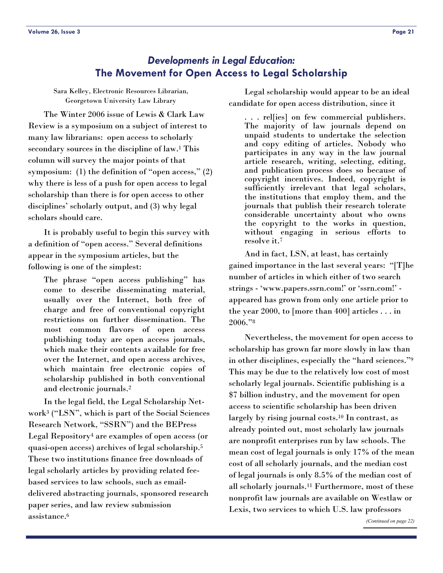<span id="page-20-0"></span>Sara Kelley, Electronic Resources Librarian, Georgetown University Law Library

 The Winter 2006 issue of Lewis & Clark Law Review is a symposium on a subject of interest to many law librarians: open access to scholarly secondary sources in the discipline of law.<sup>1</sup> This column will survey the major points of that symposium: (1) the definition of "open access," (2) why there is less of a push for open access to legal scholarship than there is for open access to other disciplines' scholarly output, and (3) why legal scholars should care.

 It is probably useful to begin this survey with a definition of "open access." Several definitions appear in the symposium articles, but the following is one of the simplest:

The phrase "open access publishing" has come to describe disseminating material, usually over the Internet, both free of charge and free of conventional copyright restrictions on further dissemination. The most common flavors of open access publishing today are open access journals, which make their contents available for free over the Internet, and open access archives, which maintain free electronic copies of scholarship published in both conventional and electronic journals.2

 In the legal field, the Legal Scholarship Network3 ("LSN", which is part of the Social Sciences Research Network, "SSRN") and the BEPress Legal Repository4 are examples of open access (or quasi-open access) archives of legal scholarship.5 These two institutions finance free downloads of legal scholarly articles by providing related feebased services to law schools, such as emaildelivered abstracting journals, sponsored research paper series, and law review submission assistance.6

 Legal scholarship would appear to be an ideal candidate for open access distribution, since it

. . . rel[ies] on few commercial publishers. The majority of law journals depend on unpaid students to undertake the selection and copy editing of articles. Nobody who participates in any way in the law journal article research, writing, selecting, editing, and publication process does so because of copyright incentives. Indeed, copyright is sufficiently irrelevant that legal scholars, the institutions that employ them, and the journals that publish their research tolerate considerable uncertainty about who owns the copyright to the works in question, without engaging in serious efforts to resolve it.7

 And in fact, LSN, at least, has certainly gained importance in the last several years: "[T]he number of articles in which either of two search strings - 'www.papers.ssrn.com!' or 'ssrn.com!' appeared has grown from only one article prior to the year 2000, to [more than 400] articles . . . in 2006."8

 Nevertheless, the movement for open access to scholarship has grown far more slowly in law than in other disciplines, especially the "hard sciences."9 This may be due to the relatively low cost of most scholarly legal journals. Scientific publishing is a \$7 billion industry, and the movement for open access to scientific scholarship has been driven largely by rising journal costs.10 In contrast, as already pointed out, most scholarly law journals are nonprofit enterprises run by law schools. The mean cost of legal journals is only 17% of the mean cost of all scholarly journals, and the median cost of legal journals is only 8.5% of the median cost of all scholarly journals.11 Furthermore, most of these nonprofit law journals are available on Westlaw or Lexis, two services to which U.S. law professors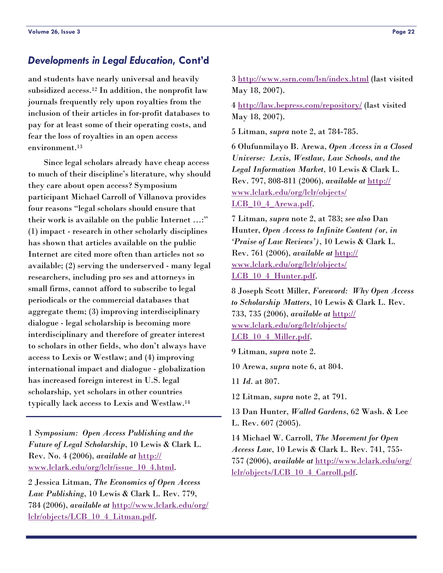### <span id="page-21-0"></span>*Developments in Legal Education***, Cont'd**

and students have nearly universal and heavily subsidized access.12 In addition, the nonprofit law journals frequently rely upon royalties from the inclusion of their articles in for-profit databases to pay for at least some of their operating costs, and fear the loss of royalties in an open access environment.<sup>13</sup>

 Since legal scholars already have cheap access to much of their discipline's literature, why should they care about open access? Symposium participant Michael Carroll of Villanova provides four reasons "legal scholars should ensure that their work is available on the public Internet …:" (1) impact - research in other scholarly disciplines has shown that articles available on the public Internet are cited more often than articles not so available; (2) serving the underserved - many legal researchers, including pro ses and attorneys in small firms, cannot afford to subscribe to legal periodicals or the commercial databases that aggregate them; (3) improving interdisciplinary dialogue - legal scholarship is becoming more interdisciplinary and therefore of greater interest to scholars in other fields, who don't always have access to Lexis or Westlaw; and (4) improving international impact and dialogue - globalization has increased foreign interest in U.S. legal scholarship, yet scholars in other countries typically lack access to Lexis and Westlaw.14

1 *Symposium: Open Access Publishing and the Future of Legal Scholarship*, 10 Lewis & Clark L. Rev. No. 4 (2006), *available at* [http://](http://www.lclark.edu/org/lclr/issue_10_4.html) [www.lclark.edu/org/lclr/issue\\_10\\_4.html](http://www.lclark.edu/org/lclr/issue_10_4.html).

2 Jessica Litman, *The Economics of Open Access Law Publishing*, 10 Lewis & Clark L. Rev. 779, 784 (2006), *available at* [http://www.lclark.edu/org/](http://www.lclark.edu/org/lclr/objects/LCB_10_4_Litman.pdf) [lclr/objects/LCB\\_10\\_4\\_Litman.pdf](http://www.lclark.edu/org/lclr/objects/LCB_10_4_Litman.pdf).

3<http://www.ssrn.com/lsn/index.html> (last visited May 18, 2007).

4<http://law.bepress.com/repository/> (last visited May 18, 2007).

5 Litman, *supra* note 2, at 784-785.

6 Olufunmilayo B. Arewa, *Open Access in a Closed Universe: Lexis, Westlaw, Law Schools, and the Legal Information Market*, 10 Lewis & Clark L. Rev. 797, 808-811 (2006), *available at* [http://](http://www.lclark.edu/org/lclr/objects/LCB_10_4_Arewa.pdf) [www.lclark.edu/org/lclr/objects/](http://www.lclark.edu/org/lclr/objects/LCB_10_4_Arewa.pdf) [LCB\\_10\\_4\\_Arewa.pdf](http://www.lclark.edu/org/lclr/objects/LCB_10_4_Arewa.pdf).

7 Litman, *supra* note 2, at 783; *see also* Dan Hunter, *Open Access to Infinite Content (or, in 'Praise of Law Reviews')*, 10 Lewis & Clark L. Rev. 761 (2006), *available at* [http://](http://www.lclark.edu/org/lclr/objects/LCB_10_4_Hunter.pdf) [www.lclark.edu/org/lclr/objects/](http://www.lclark.edu/org/lclr/objects/LCB_10_4_Hunter.pdf) LCB 10\_4\_Hunter.pdf.

8 Joseph Scott Miller, *Foreword: Why Open Access to Scholarship Matters*, 10 Lewis & Clark L. Rev. 733, 735 (2006), *available at* [http://](http://www.lclark.edu/org/lclr/objects/LCB_10_4_Miller.pdf) [www.lclark.edu/org/lclr/objects/](http://www.lclark.edu/org/lclr/objects/LCB_10_4_Miller.pdf) LCB 10 4 Miller.pdf.

9 Litman, *supra* note 2.

10 Arewa, *supra* note 6, at 804.

11 *Id*. at 807.

12 Litman, *supra* note 2, at 791.

13 Dan Hunter, *Walled Gardens*, 62 Wash. & Lee L. Rev. 607 (2005).

14 Michael W. Carroll, *The Movement for Open Access Law*, 10 Lewis & Clark L. Rev. 741, 755- 757 (2006), *available at* [http://www.lclark.edu/org/](http://www.lclark.edu/org/lclr/objects/LCB_10_4_Carroll.pdf) [lclr/objects/LCB\\_10\\_4\\_Carroll.pdf](http://www.lclark.edu/org/lclr/objects/LCB_10_4_Carroll.pdf).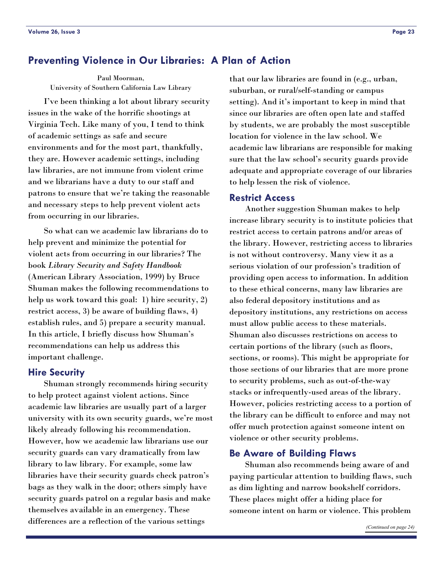### <span id="page-22-0"></span>**Preventing Violence in Our Libraries: A Plan of Action**

Paul Moorman, University of Southern California Law Library

 I've been thinking a lot about library security issues in the wake of the horrific shootings at Virginia Tech. Like many of you, I tend to think of academic settings as safe and secure environments and for the most part, thankfully, they are. However academic settings, including law libraries, are not immune from violent crime and we librarians have a duty to our staff and patrons to ensure that we're taking the reasonable and necessary steps to help prevent violent acts from occurring in our libraries.

 So what can we academic law librarians do to help prevent and minimize the potential for violent acts from occurring in our libraries? The book *Library Security and Safety Handbook*  (American Library Association, 1999) by Bruce Shuman makes the following recommendations to help us work toward this goal: 1) hire security, 2) restrict access, 3) be aware of building flaws, 4) establish rules, and 5) prepare a security manual. In this article, I briefly discuss how Shuman's recommendations can help us address this important challenge.

### **Hire Security**

 Shuman strongly recommends hiring security to help protect against violent actions. Since academic law libraries are usually part of a larger university with its own security guards, we're most likely already following his recommendation. However, how we academic law librarians use our security guards can vary dramatically from law library to law library. For example, some law libraries have their security guards check patron's bags as they walk in the door; others simply have security guards patrol on a regular basis and make themselves available in an emergency. These differences are a reflection of the various settings

that our law libraries are found in (e.g., urban, suburban, or rural/self-standing or campus setting). And it's important to keep in mind that since our libraries are often open late and staffed by students, we are probably the most susceptible location for violence in the law school. We academic law librarians are responsible for making sure that the law school's security guards provide adequate and appropriate coverage of our libraries to help lessen the risk of violence.

#### **Restrict Access**

 Another suggestion Shuman makes to help increase library security is to institute policies that restrict access to certain patrons and/or areas of the library. However, restricting access to libraries is not without controversy. Many view it as a serious violation of our profession's tradition of providing open access to information. In addition to these ethical concerns, many law libraries are also federal depository institutions and as depository institutions, any restrictions on access must allow public access to these materials. Shuman also discusses restrictions on access to certain portions of the library (such as floors, sections, or rooms). This might be appropriate for those sections of our libraries that are more prone to security problems, such as out-of-the-way stacks or infrequently-used areas of the library. However, policies restricting access to a portion of the library can be difficult to enforce and may not offer much protection against someone intent on violence or other security problems.

### **Be Aware of Building Flaws**

 Shuman also recommends being aware of and paying particular attention to building flaws, such as dim lighting and narrow bookshelf corridors. These places might offer a hiding place for someone intent on harm or violence. This problem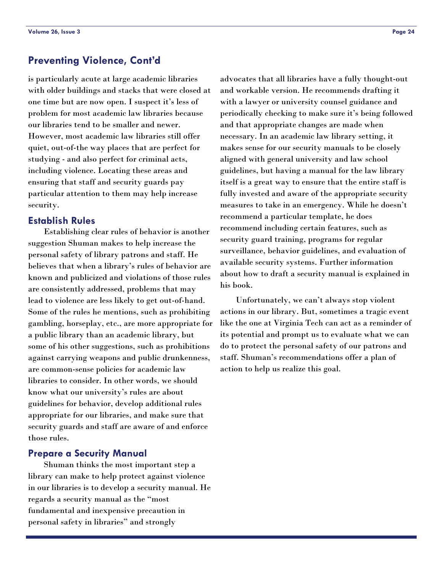### <span id="page-23-0"></span>**Preventing Violence, Cont'd**

is particularly acute at large academic libraries with older buildings and stacks that were closed at one time but are now open. I suspect it's less of problem for most academic law libraries because our libraries tend to be smaller and newer. However, most academic law libraries still offer quiet, out-of-the way places that are perfect for studying - and also perfect for criminal acts, including violence. Locating these areas and ensuring that staff and security guards pay particular attention to them may help increase security.

### **Establish Rules**

 Establishing clear rules of behavior is another suggestion Shuman makes to help increase the personal safety of library patrons and staff. He believes that when a library's rules of behavior are known and publicized and violations of those rules are consistently addressed, problems that may lead to violence are less likely to get out-of-hand. Some of the rules he mentions, such as prohibiting gambling, horseplay, etc., are more appropriate for a public library than an academic library, but some of his other suggestions, such as prohibitions against carrying weapons and public drunkenness, are common-sense policies for academic law libraries to consider. In other words, we should know what our university's rules are about guidelines for behavior, develop additional rules appropriate for our libraries, and make sure that security guards and staff are aware of and enforce those rules.

### **Prepare a Security Manual**

 Shuman thinks the most important step a library can make to help protect against violence in our libraries is to develop a security manual. He regards a security manual as the "most fundamental and inexpensive precaution in personal safety in libraries" and strongly

advocates that all libraries have a fully thought-out and workable version. He recommends drafting it with a lawyer or university counsel guidance and periodically checking to make sure it's being followed and that appropriate changes are made when necessary. In an academic law library setting, it makes sense for our security manuals to be closely aligned with general university and law school guidelines, but having a manual for the law library itself is a great way to ensure that the entire staff is fully invested and aware of the appropriate security measures to take in an emergency. While he doesn't recommend a particular template, he does recommend including certain features, such as security guard training, programs for regular surveillance, behavior guidelines, and evaluation of available security systems. Further information about how to draft a security manual is explained in his book.

 Unfortunately, we can't always stop violent actions in our library. But, sometimes a tragic event like the one at Virginia Tech can act as a reminder of its potential and prompt us to evaluate what we can do to protect the personal safety of our patrons and staff. Shuman's recommendations offer a plan of action to help us realize this goal.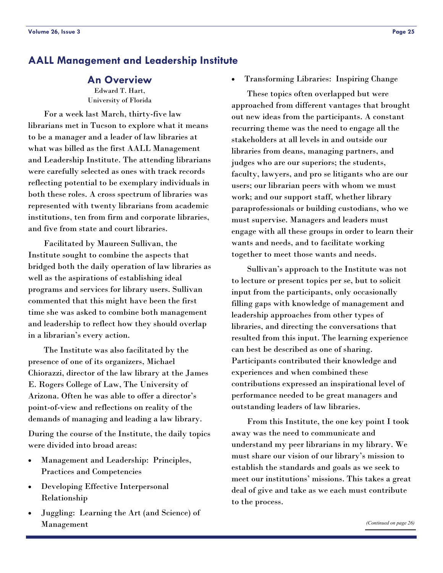### <span id="page-24-0"></span>**AALL Management and Leadership Institute**

### **An Overview**

Edward T. Hart, University of Florida

 For a week last March, thirty-five law librarians met in Tucson to explore what it means to be a manager and a leader of law libraries at what was billed as the first AALL Management and Leadership Institute. The attending librarians were carefully selected as ones with track records reflecting potential to be exemplary individuals in both these roles. A cross spectrum of libraries was represented with twenty librarians from academic institutions, ten from firm and corporate libraries, and five from state and court libraries.

 Facilitated by Maureen Sullivan, the Institute sought to combine the aspects that bridged both the daily operation of law libraries as well as the aspirations of establishing ideal programs and services for library users. Sullivan commented that this might have been the first time she was asked to combine both management and leadership to reflect how they should overlap in a librarian's every action.

 The Institute was also facilitated by the presence of one of its organizers, Michael Chiorazzi, director of the law library at the James E. Rogers College of Law, The University of Arizona. Often he was able to offer a director's point-of-view and reflections on reality of the demands of managing and leading a law library.

During the course of the Institute, the daily topics were divided into broad areas:

- Management and Leadership: Principles, Practices and Competencies
- Developing Effective Interpersonal Relationship
- Juggling: Learning the Art (and Science) of Management

• Transforming Libraries: Inspiring Change

 These topics often overlapped but were approached from different vantages that brought out new ideas from the participants. A constant recurring theme was the need to engage all the stakeholders at all levels in and outside our libraries from deans, managing partners, and judges who are our superiors; the students, faculty, lawyers, and pro se litigants who are our users; our librarian peers with whom we must work; and our support staff, whether library paraprofessionals or building custodians, who we must supervise. Managers and leaders must engage with all these groups in order to learn their wants and needs, and to facilitate working together to meet those wants and needs.

 Sullivan's approach to the Institute was not to lecture or present topics per se, but to solicit input from the participants, only occasionally filling gaps with knowledge of management and leadership approaches from other types of libraries, and directing the conversations that resulted from this input. The learning experience can best be described as one of sharing. Participants contributed their knowledge and experiences and when combined these contributions expressed an inspirational level of performance needed to be great managers and outstanding leaders of law libraries.

 From this Institute, the one key point I took away was the need to communicate and understand my peer librarians in my library. We must share our vision of our library's mission to establish the standards and goals as we seek to meet our institutions' missions. This takes a great deal of give and take as we each must contribute to the process.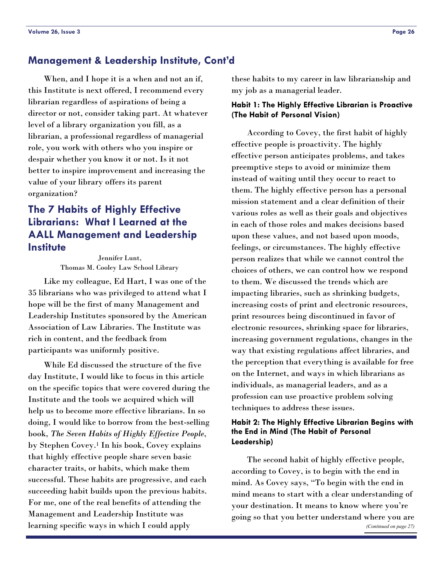### <span id="page-25-0"></span>**Management & Leadership Institute, Cont'd**

 When, and I hope it is a when and not an if, this Institute is next offered, I recommend every librarian regardless of aspirations of being a director or not, consider taking part. At whatever level of a library organization you fill, as a librarian, a professional regardless of managerial role, you work with others who you inspire or despair whether you know it or not. Is it not better to inspire improvement and increasing the value of your library offers its parent organization?

### **The 7 Habits of Highly Effective Librarians: What I Learned at the AALL Management and Leadership Institute**

Jennifer Lunt, Thomas M. Cooley Law School Library

 Like my colleague, Ed Hart, I was one of the 35 librarians who was privileged to attend what I hope will be the first of many Management and Leadership Institutes sponsored by the American Association of Law Libraries. The Institute was rich in content, and the feedback from participants was uniformly positive.

 While Ed discussed the structure of the five day Institute, I would like to focus in this article on the specific topics that were covered during the Institute and the tools we acquired which will help us to become more effective librarians. In so doing, I would like to borrow from the best-selling book, *The Seven Habits of Highly Effective People*, by Stephen Covey.1 In his book, Covey explains that highly effective people share seven basic character traits, or habits, which make them successful. These habits are progressive, and each succeeding habit builds upon the previous habits. For me, one of the real benefits of attending the Management and Leadership Institute was learning specific ways in which I could apply

these habits to my career in law librarianship and my job as a managerial leader.

### **Habit 1: The Highly Effective Librarian is Proactive (The Habit of Personal Vision)**

 According to Covey, the first habit of highly effective people is proactivity. The highly effective person anticipates problems, and takes preemptive steps to avoid or minimize them instead of waiting until they occur to react to them. The highly effective person has a personal mission statement and a clear definition of their various roles as well as their goals and objectives in each of those roles and makes decisions based upon these values, and not based upon moods, feelings, or circumstances. The highly effective person realizes that while we cannot control the choices of others, we can control how we respond to them. We discussed the trends which are impacting libraries, such as shrinking budgets, increasing costs of print and electronic resources, print resources being discontinued in favor of electronic resources, shrinking space for libraries, increasing government regulations, changes in the way that existing regulations affect libraries, and the perception that everything is available for free on the Internet, and ways in which librarians as individuals, as managerial leaders, and as a profession can use proactive problem solving techniques to address these issues.

### **Habit 2: The Highly Effective Librarian Begins with the End in Mind (The Habit of Personal Leadership)**

 The second habit of highly effective people, according to Covey, is to begin with the end in mind. As Covey says, "To begin with the end in mind means to start with a clear understanding of your destination. It means to know where you're going so that you better understand where you are *[\(Continued on page 27\)](#page-26-0)*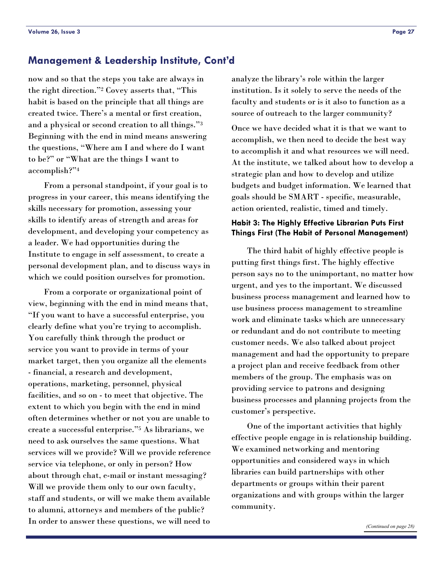### <span id="page-26-0"></span>**Management & Leadership Institute, Cont'd**

now and so that the steps you take are always in the right direction."2 Covey asserts that, "This habit is based on the principle that all things are created twice. There's a mental or first creation, and a physical or second creation to all things."3 Beginning with the end in mind means answering the questions, "Where am I and where do I want to be?" or "What are the things I want to accomplish?"4

 From a personal standpoint, if your goal is to progress in your career, this means identifying the skills necessary for promotion, assessing your skills to identify areas of strength and areas for development, and developing your competency as a leader. We had opportunities during the Institute to engage in self assessment, to create a personal development plan, and to discuss ways in which we could position ourselves for promotion.

 From a corporate or organizational point of view, beginning with the end in mind means that, "If you want to have a successful enterprise, you clearly define what you're trying to accomplish. You carefully think through the product or service you want to provide in terms of your market target, then you organize all the elements - financial, a research and development, operations, marketing, personnel, physical facilities, and so on - to meet that objective. The extent to which you begin with the end in mind often determines whether or not you are unable to create a successful enterprise."5 As librarians, we need to ask ourselves the same questions. What services will we provide? Will we provide reference service via telephone, or only in person? How about through chat, e-mail or instant messaging? Will we provide them only to our own faculty, staff and students, or will we make them available to alumni, attorneys and members of the public? In order to answer these questions, we will need to

analyze the library's role within the larger institution. Is it solely to serve the needs of the faculty and students or is it also to function as a source of outreach to the larger community?

Once we have decided what it is that we want to accomplish, we then need to decide the best way to accomplish it and what resources we will need. At the institute, we talked about how to develop a strategic plan and how to develop and utilize budgets and budget information. We learned that goals should be SMART - specific, measurable, action oriented, realistic, timed and timely.

### **Habit 3: The Highly Effective Librarian Puts First Things First (The Habit of Personal Management)**

 The third habit of highly effective people is putting first things first. The highly effective person says no to the unimportant, no matter how urgent, and yes to the important. We discussed business process management and learned how to use business process management to streamline work and eliminate tasks which are unnecessary or redundant and do not contribute to meeting customer needs. We also talked about project management and had the opportunity to prepare a project plan and receive feedback from other members of the group. The emphasis was on providing service to patrons and designing business processes and planning projects from the customer's perspective.

 One of the important activities that highly effective people engage in is relationship building. We examined networking and mentoring opportunities and considered ways in which libraries can build partnerships with other departments or groups within their parent organizations and with groups within the larger community.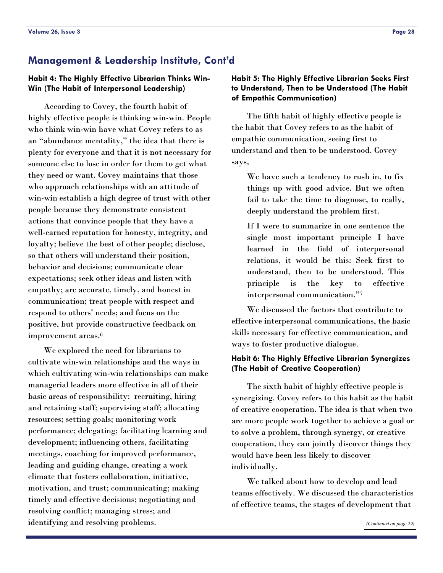### <span id="page-27-0"></span>**Management & Leadership Institute, Cont'd**

### **Habit 4: The Highly Effective Librarian Thinks Win-Win (The Habit of Interpersonal Leadership)**

 According to Covey, the fourth habit of highly effective people is thinking win-win. People who think win-win have what Covey refers to as an "abundance mentality," the idea that there is plenty for everyone and that it is not necessary for someone else to lose in order for them to get what they need or want. Covey maintains that those who approach relationships with an attitude of win-win establish a high degree of trust with other people because they demonstrate consistent actions that convince people that they have a well-earned reputation for honesty, integrity, and loyalty; believe the best of other people; disclose, so that others will understand their position, behavior and decisions; communicate clear expectations; seek other ideas and listen with empathy; are accurate, timely, and honest in communication; treat people with respect and respond to others' needs; and focus on the positive, but provide constructive feedback on improvement areas.6

 We explored the need for librarians to cultivate win-win relationships and the ways in which cultivating win-win relationships can make managerial leaders more effective in all of their basic areas of responsibility: recruiting, hiring and retaining staff; supervising staff; allocating resources; setting goals; monitoring work performance; delegating; facilitating learning and development; influencing others, facilitating meetings, coaching for improved performance, leading and guiding change, creating a work climate that fosters collaboration, initiative, motivation, and trust; communicating; making timely and effective decisions; negotiating and resolving conflict; managing stress; and identifying and resolving problems.

### **Habit 5: The Highly Effective Librarian Seeks First to Understand, Then to be Understood (The Habit of Empathic Communication)**

 The fifth habit of highly effective people is the habit that Covey refers to as the habit of empathic communication, seeing first to understand and then to be understood. Covey says,

We have such a tendency to rush in, to fix things up with good advice. But we often fail to take the time to diagnose, to really, deeply understand the problem first.

If I were to summarize in one sentence the single most important principle I have learned in the field of interpersonal relations, it would be this: Seek first to understand, then to be understood. This principle is the key to effective interpersonal communication."7

 We discussed the factors that contribute to effective interpersonal communications, the basic skills necessary for effective communication, and ways to foster productive dialogue.

### **Habit 6: The Highly Effective Librarian Synergizes (The Habit of Creative Cooperation)**

 The sixth habit of highly effective people is synergizing. Covey refers to this habit as the habit of creative cooperation. The idea is that when two are more people work together to achieve a goal or to solve a problem, through synergy, or creative cooperation, they can jointly discover things they would have been less likely to discover individually.

 We talked about how to develop and lead teams effectively. We discussed the characteristics of effective teams, the stages of development that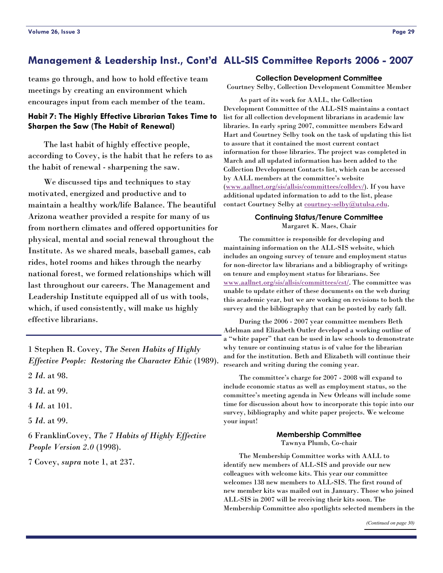### <span id="page-28-0"></span>**Management & Leadership Inst., Cont'd ALL-SIS Committee Reports 2006 - 2007**

teams go through, and how to hold effective team meetings by creating an environment which encourages input from each member of the team.

### **Habit 7: The Highly Effective Librarian Takes Time to Sharpen the Saw (The Habit of Renewal)**

 The last habit of highly effective people, according to Covey, is the habit that he refers to as the habit of renewal - sharpening the saw.

 We discussed tips and techniques to stay motivated, energized and productive and to maintain a healthy work/life Balance. The beautiful Arizona weather provided a respite for many of us from northern climates and offered opportunities for physical, mental and social renewal throughout the Institute. As we shared meals, baseball games, cab rides, hotel rooms and hikes through the nearby national forest, we formed relationships which will last throughout our careers. The Management and Leadership Institute equipped all of us with tools, which, if used consistently, will make us highly effective librarians.

1 Stephen R. Covey, *The Seven Habits of Highly Effective People: Restoring the Character Ethic* (1989).

2 *Id*. at 98.

3 *Id*. at 99.

4 *Id*. at 101.

5 *Id*. at 99.

6 FranklinCovey, *The 7 Habits of Highly Effective People Version 2.0* (1998).

7 Covey, *supra* note 1, at 237.

#### **Collection Development Committee**

Courtney Selby, Collection Development Committee Member

 As part of its work for AALL, the Collection Development Committee of the ALL-SIS maintains a contact list for all collection development librarians in academic law libraries. In early spring 2007, committee members Edward Hart and Courtney Selby took on the task of updating this list to assure that it contained the most current contact information for those libraries. The project was completed in March and all updated information has been added to the Collection Development Contacts list, which can be accessed by AALL members at the committee's website ([www.aallnet.org/sis/allsis/committees/colldev/\)](http://www.aallnet.org/sis/allsis/committees/colldev/). If you have additional updated information to add to the list, please contact Courtney Selby at [courtney-selby@utulsa.edu.](mailto:courtney-selby@utulsa.edu)

#### **Continuing Status/Tenure Committee**  Margaret K. Maes, Chair

 The committee is responsible for developing and maintaining information on the ALL-SIS website, which includes an ongoing survey of tenure and employment status for non-director law librarians and a bibliography of writings on tenure and employment status for librarians. See [www.aallnet.org/sis/allsis/committees/cst/](http://www.aallnet.org/sis/allsis/committees/cst/). The committee was unable to update either of these documents on the web during this academic year, but we are working on revisions to both the survey and the bibliography that can be posted by early fall.

 During the 2006 - 2007 year committee members Beth Adelman and Elizabeth Outler developed a working outline of a "white paper" that can be used in law schools to demonstrate why tenure or continuing status is of value for the librarian and for the institution. Beth and Elizabeth will continue their research and writing during the coming year.

 The committee's charge for 2007 - 2008 will expand to include economic status as well as employment status, so the committee's meeting agenda in New Orleans will include some time for discussion about how to incorporate this topic into our survey, bibliography and white paper projects. We welcome your input!

#### **Membership Committee**  Tawnya Plumb, Co-chair

 The Membership Committee works with AALL to identify new members of ALL-SIS and provide our new colleagues with welcome kits. This year our committee welcomes 138 new members to ALL-SIS. The first round of new member kits was mailed out in January. Those who joined

ALL-SIS in 2007 will be receiving their kits soon. The Membership Committee also spotlights selected members in the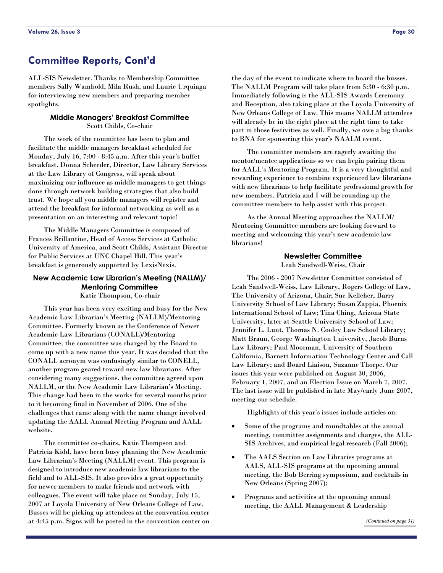### <span id="page-29-0"></span>**Committee Reports, Cont'd**

ALL-SIS Newsletter. Thanks to Membership Committee members Sally Wambold, Mila Rush, and Laurie Urquiaga for interviewing new members and preparing member spotlights.

#### **Middle Managers' Breakfast Committee**  Scott Childs, Co-chair

 The work of the committee has been to plan and facilitate the middle managers breakfast scheduled for Monday, July 16, 7:00 - 8:45 a.m. After this year's buffet breakfast, Donna Scheeder, Director, Law Library Services at the Law Library of Congress, will speak about maximizing our influence as middle managers to get things done through network building strategies that also build trust. We hope all you middle managers will register and attend the breakfast for informal networking as well as a presentation on an interesting and relevant topic!

 The Middle Managers Committee is composed of Frances Brillantine, Head of Access Services at Catholic University of America, and Scott Childs, Assistant Director for Public Services at UNC Chapel Hill. This year's breakfast is generously supported by LexisNexis.

#### **New Academic Law Librarian's Meeting (NALLM)/ Mentoring Committee**  Katie Thompson, Co-chair

 This year has been very exciting and busy for the New Academic Law Librarian's Meeting (NALLM)/Mentoring Committee. Formerly known as the Conference of Newer Academic Law Librarians (CONALL)/Mentoring Committee, the committee was charged by the Board to come up with a new name this year. It was decided that the CONALL acronym was confusingly similar to CONELL, another program geared toward new law librarians. After considering many suggestions, the committee agreed upon NALLM, or the New Academic Law Librarian's Meeting. This change had been in the works for several months prior to it becoming final in November of 2006. One of the challenges that came along with the name change involved updating the AALL Annual Meeting Program and AALL website.

 The committee co-chairs, Katie Thompson and Patricia Kidd, have been busy planning the New Academic Law Librarian's Meeting (NALLM) event. This program is designed to introduce new academic law librarians to the field and to ALL-SIS. It also provides a great opportunity for newer members to make friends and network with colleagues. The event will take place on Sunday, July 15, 2007 at Loyola University of New Orleans College of Law. Busses will be picking up attendees at the convention center at 4:45 p.m. Signs will be posted in the convention center on the day of the event to indicate where to board the busses. The NALLM Program will take place from 5:30 - 6:30 p.m. Immediately following is the ALL-SIS Awards Ceremony and Reception, also taking place at the Loyola University of New Orleans College of Law. This means NALLM attendees will already be in the right place at the right time to take part in those festivities as well. Finally, we owe a big thanks to BNA for sponsoring this year's NAALM event.

 The committee members are eagerly awaiting the mentor/mentee applications so we can begin pairing them for AALL's Mentoring Program. It is a very thoughtful and rewarding experience to combine experienced law librarians with new librarians to help facilitate professional growth for new members. Patricia and I will be rounding up the committee members to help assist with this project.

 As the Annual Meeting approaches the NALLM/ Mentoring Committee members are looking forward to meeting and welcoming this year's new academic law librarians!

### **Newsletter Committee**

Leah Sandwell-Weiss, Chair

 The 2006 - 2007 Newsletter Committee consisted of Leah Sandwell-Weiss, Law Library, Rogers College of Law, The University of Arizona, Chair; Sue Kelleher, Barry University School of Law Library; Susan Zappia, Phoenix International School of Law; Tina Ching, Arizona State University, later at Seattle University School of Law; Jennifer L. Lunt, Thomas N. Cooley Law School Library; Matt Braun, George Washington University, Jacob Burns Law Library; Paul Moorman, University of Southern California, Barnett Information Technology Center and Call Law Library; and Board Liaison, Suzanne Thorpe. Our issues this year were published on August 30, 2006, February 1, 2007, and an Election Issue on March 7, 2007. The last issue will be published in late May/early June 2007, meeting our schedule.

Highlights of this year's issues include articles on:

- Some of the programs and roundtables at the annual meeting, committee assignments and charges, the ALL-SIS Archives, and empirical legal research (Fall 2006);
- The AALS Section on Law Libraries programs at AALS, ALL-SIS programs at the upcoming annual meeting, the Bob Berring symposium, and cocktails in New Orleans (Spring 2007);
- Programs and activities at the upcoming annual meeting, the AALL Management & Leadership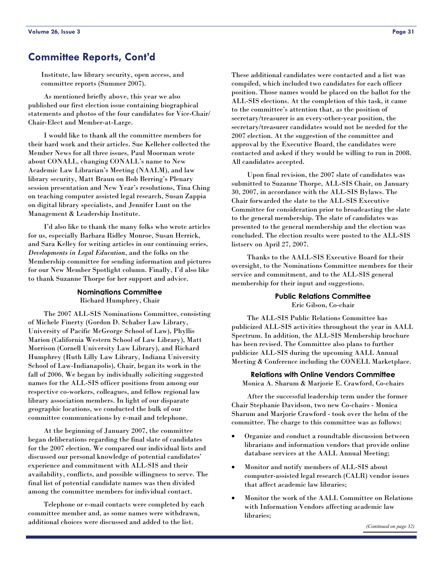### <span id="page-30-0"></span>**Committee Reports, Cont'd**

Institute, law library security, open access, and committee reports (Summer 2007).

 As mentioned briefly above, this year we also published our first election issue containing biographical statements and photos of the four candidates for Vice-Chair/ Chair-Elect and Member-at-Large.

 I would like to thank all the committee members for their hard work and their articles. Sue Kelleher collected the Member News for all three issues, Paul Moorman wrote about CONALL, changing CONALL's name to New Academic Law Librarian's Meeting (NAALM), and law library security, Matt Braun on Bob Berring's Plenary session presentation and New Year's resolutions, Tina Ching on teaching computer assisted legal research, Susan Zappia on digital library specialists, and Jennifer Lunt on the Management & Leadership Institute.

 I'd also like to thank the many folks who wrote articles for us, especially Barbara Ridley Monroe, Susan Herrick, and Sara Kelley for writing articles in our continuing series, *Developments in Legal Education*, and the folks on the Membership committee for sending information and pictures for our New Member Spotlight column. Finally, I'd also like to thank Suzanne Thorpe for her support and advice.

#### **Nominations Committee**  Richard Humphrey, Chair

 The 2007 ALL-SIS Nominations Committee, consisting of Michele Finerty (Gordon D. Schaber Law Library, University of Pacific McGeorge School of Law), Phyllis Marion (California Western School of Law Library), Matt Morrison (Cornell University Law Library), and Richard Humphrey (Ruth Lilly Law Library, Indiana University School of Law-Indianapolis), Chair, began its work in the fall of 2006. We began by individually soliciting suggested names for the ALL-SIS officer positions from among our respective co-workers, colleagues, and fellow regional law library association members. In light of our disparate geographic locations, we conducted the bulk of our committee communications by e-mail and telephone.

 At the beginning of January 2007, the committee began deliberations regarding the final slate of candidates for the 2007 election. We compared our individual lists and discussed our personal knowledge of potential candidates' experience and commitment with ALL-SIS and their availability, conflicts, and possible willingness to serve. The final list of potential candidate names was then divided among the committee members for individual contact.

 Telephone or e-mail contacts were completed by each committee member and, as some names were withdrawn, additional choices were discussed and added to the list.

These additional candidates were contacted and a list was compiled, which included two candidates for each officer position. Those names would be placed on the ballot for the ALL-SIS elections. At the completion of this task, it came to the committee's attention that, as the position of secretary/treasurer is an every-other-year position, the secretary/treasurer candidates would not be needed for the 2007 election. At the suggestion of the committee and approval by the Executive Board, the candidates were contacted and asked if they would be willing to run in 2008. All candidates accepted.

 Upon final revision, the 2007 slate of candidates was submitted to Suzanne Thorpe, ALL-SIS Chair, on January 30, 2007, in accordance with the ALL-SIS Bylaws. The Chair forwarded the slate to the ALL-SIS Executive Committee for consideration prior to broadcasting the slate to the general membership. The slate of candidates was presented to the general membership and the election was concluded. The election results were posted to the ALL-SIS listserv on April 27, 2007.

 Thanks to the AALL-SIS Executive Board for their oversight, to the Nominations Committee members for their service and commitment, and to the ALL-SIS general membership for their input and suggestions.

#### **Public Relations Committee**  Eric Gilson, Co-chair

 The ALL-SIS Public Relations Committee has publicized ALL-SIS activities throughout the year in AALL Spectrum. In addition, the ALL-SIS Membership brochure has been revised. The Committee also plans to further publicize ALL-SIS during the upcoming AALL Annual Meeting & Conference including the CONELL Marketplace.

**Relations with Online Vendors Committee**  Monica A. Sharum & Marjorie E. Crawford, Co-chairs

 After the successful leadership term under the former Chair Stephanie Davidson, two new Co-chairs - Monica Sharum and Marjorie Crawford - took over the helm of the committee. The charge to this committee was as follows:

- Organize and conduct a roundtable discussion between librarians and information vendors that provide online database services at the AALL Annual Meeting;
- Monitor and notify members of ALL-SIS about computer-assisted legal research (CALR) vendor issues that affect academic law libraries;
- Monitor the work of the AALL Committee on Relations with Information Vendors affecting academic law libraries;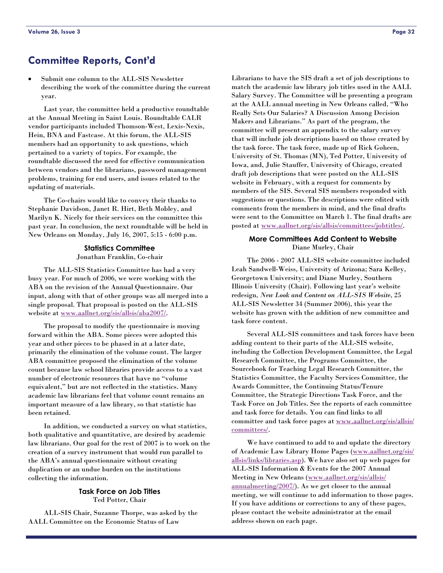### <span id="page-31-0"></span>**Committee Reports, Cont'd**

• Submit one column to the ALL-SIS Newsletter describing the work of the committee during the current year.

 Last year, the committee held a productive roundtable at the Annual Meeting in Saint Louis. Roundtable CALR vendor participants included Thomson-West, Lexis-Nexis, Hein, BNA and Fastcase. At this forum, the ALL-SIS members had an opportunity to ask questions, which pertained to a variety of topics. For example, the roundtable discussed the need for effective communication between vendors and the librarians, password management problems, training for end users, and issues related to the updating of materials.

 The Co-chairs would like to convey their thanks to Stephanie Davidson, Janet R. Hirt, Beth Mobley, and Marilyn K. Nicely for their services on the committee this past year. In conclusion, the next roundtable will be held in New Orleans on Monday, July 16, 2007, 5:15 - 6:00 p.m.

#### **Statistics Committee**  Jonathan Franklin, Co-chair

 The ALL-SIS Statistics Committee has had a very busy year. For much of 2006, we were working with the ABA on the revision of the Annual Questionnaire. Our input, along with that of other groups was all merged into a single proposal. That proposal is posted on the ALL-SIS website at [www.aallnet.org/sis/allsis/aba2007/.](http://www.aallnet.org/sis/allsis/aba2007/)

 The proposal to modify the questionnaire is moving forward within the ABA. Some pieces were adopted this year and other pieces to be phased in at a later date, primarily the elimination of the volume count. The larger ABA committee proposed the elimination of the volume count because law school libraries provide access to a vast number of electronic resources that have no "volume equivalent," but are not reflected in the statistics. Many academic law librarians feel that volume count remains an important measure of a law library, so that statistic has been retained.

 In addition, we conducted a survey on what statistics, both qualitative and quantitative, are desired by academic law librarians. Our goal for the rest of 2007 is to work on the creation of a survey instrument that would run parallel to the ABA's annual questionnaire without creating duplication or an undue burden on the institutions collecting the information.

#### **Task Force on Job Titles**  Ted Potter, Chair

 ALL-SIS Chair, Suzanne Thorpe, was asked by the AALL Committee on the Economic Status of Law

Librarians to have the SIS draft a set of job descriptions to match the academic law library job titles used in the AALL Salary Survey. The Committee will be presenting a program at the AALL annual meeting in New Orleans called, "Who Really Sets Our Salaries? A Discussion Among Decision Makers and Librarians." As part of the program, the committee will present an appendix to the salary survey that will include job descriptions based on those created by the task force. The task force, made up of Rick Goheen, University of St. Thomas (MN), Ted Potter, University of Iowa, and, Julie Stauffer, University of Chicago, created draft job descriptions that were posted on the ALL-SIS website in February, with a request for comments by members of the SIS. Several SIS members responded with suggestions or questions. The descriptions were edited with comments from the members in mind, and the final drafts were sent to the Committee on March 1. The final drafts are posted at [www.aallnet.org/sis/allsis/committees/jobtitles/.](http://www.aallnet.org/sis/allsis/committees/jobtitles/)

#### **More Committees Add Content to Website**  Diane Murley, Chair

 The 2006 - 2007 ALL-SIS website committee included Leah Sandwell-Weiss, University of Arizona; Sara Kelley, Georgetown University; and Diane Murley, Southern Illinois University (Chair). Following last year's website redesign, *New Look and Content on ALL-SIS Website*, 25 ALL-SIS Newsletter 34 (Summer 2006), this year the website has grown with the addition of new committee and task force content.

 Several ALL-SIS committees and task forces have been adding content to their parts of the ALL-SIS website, including the Collection Development Committee, the Legal Research Committee, the Programs Committee, the Sourcebook for Teaching Legal Research Committee, the Statistics Committee, the Faculty Services Committee, the Awards Committee, the Continuing Status/Tenure Committee, the Strategic Directions Task Force, and the Task Force on Job Titles. See the reports of each committee and task force for details. You can find links to all committee and task force pages at [www.aallnet.org/sis/allsis/](http://www.aallnet.org/sis/allsis/committees/) [committees/](http://www.aallnet.org/sis/allsis/committees/).

 We have continued to add to and update the directory of Academic Law Library Home Pages [\(www.aallnet.org/sis/](http://www.aallnet.org/sis/allsis/links/libraries.asp) [allsis/links/libraries.asp](http://www.aallnet.org/sis/allsis/links/libraries.asp)). We have also set up web pages for ALL-SIS Information & Events for the 2007 Annual Meeting in New Orleans ([www.aallnet.org/sis/allsis/](http://www.aallnet.org/sis/allsis/annualmeeting/2007/) [annualmeeting/2007/](http://www.aallnet.org/sis/allsis/annualmeeting/2007/)). As we get closer to the annual meeting, we will continue to add information to those pages. If you have additions or corrections to any of these pages, please contact the website administrator at the email address shown on each page.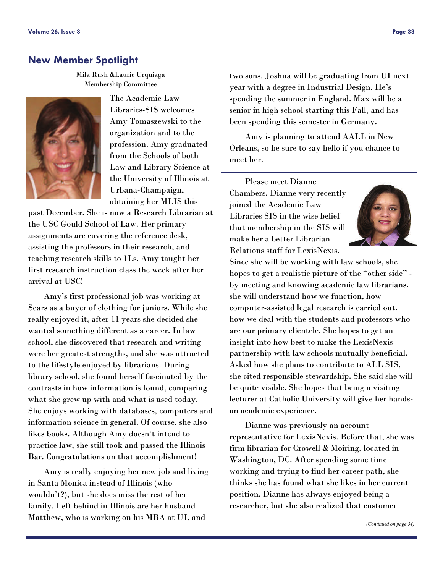### <span id="page-32-0"></span>**New Member Spotlight**

Mila Rush &Laurie Urquiaga Membership Committee



The Academic Law Libraries-SIS welcomes Amy Tomaszewski to the organization and to the profession. Amy graduated from the Schools of both Law and Library Science at the University of Illinois at Urbana-Champaign, obtaining her MLIS this

past December. She is now a Research Librarian at the USC Gould School of Law. Her primary assignments are covering the reference desk, assisting the professors in their research, and teaching research skills to 1Ls. Amy taught her first research instruction class the week after her arrival at USC!

 Amy's first professional job was working at Sears as a buyer of clothing for juniors. While she really enjoyed it, after 11 years she decided she wanted something different as a career. In law school, she discovered that research and writing were her greatest strengths, and she was attracted to the lifestyle enjoyed by librarians. During library school, she found herself fascinated by the contrasts in how information is found, comparing what she grew up with and what is used today. She enjoys working with databases, computers and information science in general. Of course, she also likes books. Although Amy doesn't intend to practice law, she still took and passed the Illinois Bar. Congratulations on that accomplishment!

 Amy is really enjoying her new job and living in Santa Monica instead of Illinois (who wouldn't?), but she does miss the rest of her family. Left behind in Illinois are her husband Matthew, who is working on his MBA at UI, and

two sons. Joshua will be graduating from UI next year with a degree in Industrial Design. He's spending the summer in England. Max will be a senior in high school starting this Fall, and has been spending this semester in Germany.

 Amy is planning to attend AALL in New Orleans, so be sure to say hello if you chance to meet her.

 Please meet Dianne Chambers. Dianne very recently joined the Academic Law Libraries SIS in the wise belief that membership in the SIS will make her a better Librarian Relations staff for LexisNexis.



Since she will be working with law schools, she hopes to get a realistic picture of the "other side" by meeting and knowing academic law librarians, she will understand how we function, how computer-assisted legal research is carried out, how we deal with the students and professors who are our primary clientele. She hopes to get an insight into how best to make the LexisNexis partnership with law schools mutually beneficial. Asked how she plans to contribute to ALL SIS, she cited responsible stewardship. She said she will be quite visible. She hopes that being a visiting lecturer at Catholic University will give her handson academic experience.

 Dianne was previously an account representative for LexisNexis. Before that, she was firm librarian for Crowell & Moiring, located in Washington, DC. After spending some time working and trying to find her career path, she thinks she has found what she likes in her current position. Dianne has always enjoyed being a researcher, but she also realized that customer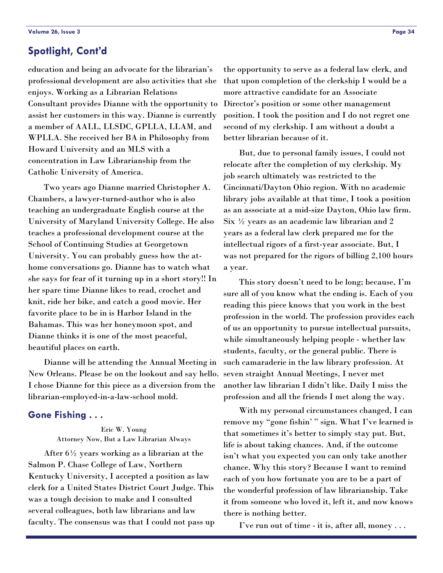### <span id="page-33-0"></span>**Spotlight, Cont'd**

education and being an advocate for the librarian's professional development are also activities that she enjoys. Working as a Librarian Relations Consultant provides Dianne with the opportunity to assist her customers in this way. Dianne is currently a member of AALL, LLSDC, GPLLA, LLAM, and WPLLA. She received her BA in Philosophy from Howard University and an MLS with a concentration in Law Librarianship from the Catholic University of America.

 Two years ago Dianne married Christopher A. Chambers, a lawyer-turned-author who is also teaching an undergraduate English course at the University of Maryland University College. He also teaches a professional development course at the School of Continuing Studies at Georgetown University. You can probably guess how the athome conversations go. Dianne has to watch what she says for fear of it turning up in a short story!! In her spare time Dianne likes to read, crochet and knit, ride her bike, and catch a good movie. Her favorite place to be in is Harbor Island in the Bahamas. This was her honeymoon spot, and Dianne thinks it is one of the most peaceful, beautiful places on earth.

 Dianne will be attending the Annual Meeting in New Orleans. Please be on the lookout and say hello. I chose Dianne for this piece as a diversion from the librarian-employed-in-a-law-school mold.

### **Gone Fishing . . .**

Eric W. Young Attorney Now, But a Law Librarian Always

 After 6½ years working as a librarian at the Salmon P. Chase College of Law, Northern Kentucky University, I accepted a position as law clerk for a United States District Court Judge. This was a tough decision to make and I consulted several colleagues, both law librarians and law faculty. The consensus was that I could not pass up

the opportunity to serve as a federal law clerk, and that upon completion of the clerkship I would be a more attractive candidate for an Associate Director's position or some other management position. I took the position and I do not regret one second of my clerkship. I am without a doubt a better librarian because of it.

 But, due to personal family issues, I could not relocate after the completion of my clerkship. My job search ultimately was restricted to the Cincinnati/Dayton Ohio region. With no academic library jobs available at that time, I took a position as an associate at a mid-size Dayton, Ohio law firm. Six  $\frac{1}{2}$  years as an academic law librarian and 2 years as a federal law clerk prepared me for the intellectual rigors of a first-year associate. But, I was not prepared for the rigors of billing 2,100 hours a year.

 This story doesn't need to be long; because, I'm sure all of you know what the ending is. Each of you reading this piece knows that you work in the best profession in the world. The profession provides each of us an opportunity to pursue intellectual pursuits, while simultaneously helping people - whether law students, faculty, or the general public. There is such camaraderie in the law library profession. At seven straight Annual Meetings, I never met another law librarian I didn't like. Daily I miss the profession and all the friends I met along the way.

 With my personal circumstances changed, I can remove my "gone fishin' " sign. What I've learned is that sometimes it's better to simply stay put. But, life is about taking chances. And, if the outcome isn't what you expected you can only take another chance. Why this story? Because I want to remind each of you how fortunate you are to be a part of the wonderful profession of law librarianship. Take it from someone who loved it, left it, and now knows there is nothing better.

I've run out of time - it is, after all, money . . .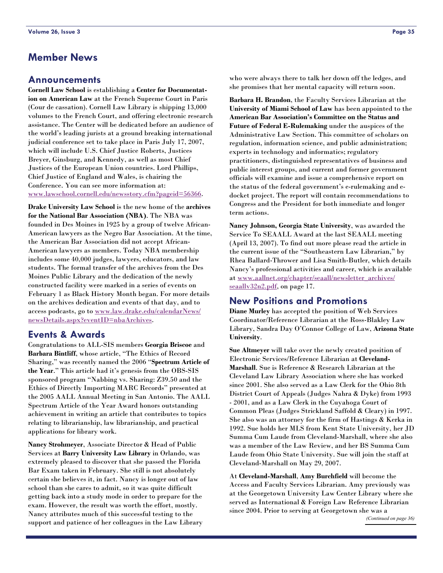### **Member News**

### **Announcements**

**Cornell Law School** is establishing a **Center for Documentation on American Law** at the French Supreme Court in Paris (Cour de cassation). Cornell Law Library is shipping 13,000 volumes to the French Court, and offering electronic research assistance. The Center will be dedicated before an audience of the world's leading jurists at a ground breaking international judicial conference set to take place in Paris July 17, 2007, which will include U.S. Chief Justice Roberts, Justices Breyer, Ginsburg, and Kennedy, as well as most Chief Justices of the European Union countries. Lord Phillips, Chief Justice of England and Wales, is chairing the Conference. You can see more information at: [www.lawschool.cornell.edu/newsstory.cfm?pageid=56366](http://www.lawschool.cornell.edu/newsstory.cfm?pageid=56366).

**Drake University Law School** is the new home of the **archives for the National Bar Association (NBA)**. The NBA was founded in Des Moines in 1925 by a group of twelve African-American lawyers as the Negro Bar Association. At the time, the American Bar Association did not accept African-American lawyers as members. Today NBA membership includes some 40,000 judges, lawyers, educators, and law students. The formal transfer of the archives from the Des Moines Public Library and the dedication of the newly constructed facility were marked in a series of events on February 1 as Black History Month began. For more details on the archives dedication and events of that day, and to access podcasts, go to [www.law.drake.edu/calendarNews/](http://www.law.drake.edu/calendarNews/newsDetails.aspx?eventID=nbaArchives) [newsDetails.aspx?eventID=nbaArchives.](http://www.law.drake.edu/calendarNews/newsDetails.aspx?eventID=nbaArchives)

### **Events & Awards**

Congratulations to ALL-SIS members **Georgia Briscoe** and **Barbara Bintliff**, whose article, "The Ethics of Record Sharing," was recently named the 2006 "**Spectrum Article of the Year**." This article had it's genesis from the OBS-SIS sponsored program "Nabbing vs. Sharing: Z39.50 and the Ethics of Directly Importing MARC Records" presented at the 2005 AALL Annual Meeting in San Antonio. The AALL Spectrum Article of the Year Award honors outstanding achievement in writing an article that contributes to topics relating to librarianship, law librarianship, and practical applications for library work.

**Nancy Strohmeyer**, Associate Director & Head of Public Services at **Barry University Law Library** in Orlando, was extremely pleased to discover that she passed the Florida Bar Exam taken in February. She still is not absolutely certain she believes it, in fact. Nancy is longer out of law school than she cares to admit, so it was quite difficult getting back into a study mode in order to prepare for the exam. However, the result was worth the effort, mostly. Nancy attributes much of this successful testing to the support and patience of her colleagues in the Law Library

who were always there to talk her down off the ledges, and she promises that her mental capacity will return soon.

**Barbara H. Brandon**, the Faculty Services Librarian at the **University of Miami School of Law** has been appointed to the **American Bar Association's Committee on the Status and Future of Federal E-Rulemaking** under the auspices of the Administrative Law Section. This committee of scholars on regulation, information science, and public administration; experts in technology and informatics; regulatory practitioners, distinguished representatives of business and public interest groups, and current and former government officials will examine and issue a comprehensive report on the status of the federal government's e-rulemaking and edocket project. The report will contain recommendations to Congress and the President for both immediate and longer term actions.

**Nancy Johnson, Georgia State University**, was awarded the Service To SEAALL Award at the last SEAALL meeting (April 13, 2007). To find out more please read the article in the current issue of the "Southeastern Law Librarian," by Rhea Ballard-Thrower and Lisa Smith-Butler, which details Nancy's professional activities and career, which is available at [www.aallnet.org/chapter/seaall/newsletter\\_archives/](http://www.aallnet.org/chapter/seaall/newsletter_archives/seaallv32n2.pdf) [seaallv32n2.pdf](http://www.aallnet.org/chapter/seaall/newsletter_archives/seaallv32n2.pdf), on page 17.

### **New Positions and Promotions**

**Diane Murley** has accepted the position of Web Services Coordinator/Reference Librarian at the Ross-Blakley Law Library, Sandra Day O'Connor College of Law, **Arizona State University**.

**Sue Altmeyer** will take over the newly created position of Electronic Services/Reference Librarian at **Cleveland-Marshall**. Sue is Reference & Research Librarian at the Cleveland Law Library Association where she has worked since 2001. She also served as a Law Clerk for the Ohio 8th District Court of Appeals (Judges Nahra & Dyke) from 1993 - 2001, and as a Law Clerk in the Cuyahoga Court of Common Pleas (Judges Strickland Saffold & Cleary) in 1997. She also was an attorney for the firm of Hastings & Kerka in 1992. Sue holds her MLS from Kent State University, her JD Summa Cum Laude from Cleveland-Marshall, where she also was a member of the Law Review, and her BS Summa Cum Laude from Ohio State University. Sue will join the staff at Cleveland-Marshall on May 29, 2007.

At **Cleveland-Marshall**, **Amy Burchfield** will become the Access and Faculty Services Librarian. Amy previously was at the Georgetown University Law Center Library where she served as International & Foreign Law Reference Librarian since 2004. Prior to serving at Georgetown she was a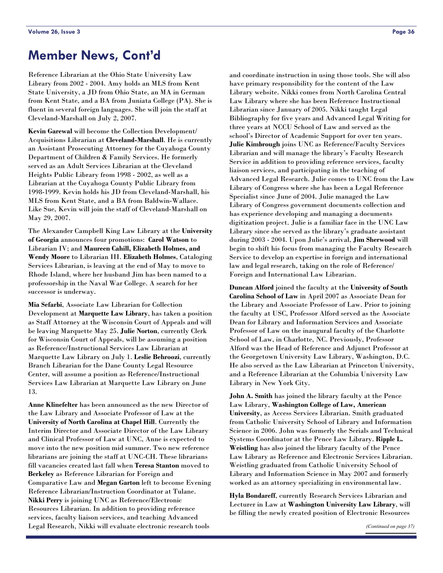# <span id="page-35-0"></span>**Member News, Cont'd**

Reference Librarian at the Ohio State University Law Library from 2002 - 2004. Amy holds an MLS from Kent State University, a JD from Ohio State, an MA in German from Kent State, and a BA from Juniata College (PA). She is fluent in several foreign languages. She will join the staff at Cleveland-Marshall on July 2, 2007.

**Kevin Garewal** will become the Collection Development/ Acquisitions Librarian at **Cleveland-Marshall**. He is currently an Assistant Prosecuting Attorney for the Cuyahoga County Department of Children & Family Services. He formerly served as an Adult Services Librarian at the Cleveland Heights Public Library from 1998 - 2002, as well as a Librarian at the Cuyahoga County Public Library from 1998-1999. Kevin holds his JD from Cleveland-Marshall, his MLS from Kent State, and a BA from Baldwin-Wallace. Like Sue, Kevin will join the staff of Cleveland-Marshall on May 29, 2007.

The Alexander Campbell King Law Library at the **University of Georgia** announces four promotions: **Carol Watson** to Librarian IV; and **Maureen Cahill, Elizabeth Holmes, and Wendy Moore** to Librarian III. **Elizabeth Holmes**, Cataloging Services Librarian, is leaving at the end of May to move to Rhode Island, where her husband Jim has been named to a professorship in the Naval War College. A search for her successor is underway.

**Mia Sefarbi**, Associate Law Librarian for Collection Development at **Marquette Law Library**, has taken a position as Staff Attorney at the Wisconsin Court of Appeals and will be leaving Marquette May 25. **Julie Norton**, currently Clerk for Wisconsin Court of Appeals, will be assuming a position as Reference/Instructional Services Law Librarian at Marquette Law Library on July 1. **Leslie Behroozi**, currently Branch Librarian for the Dane County Legal Resource Center, will assume a position as Reference/Instructional Services Law Librarian at Marquette Law Library on June 13.

**Anne Klinefelter** has been announced as the new Director of the Law Library and Associate Professor of Law at the **University of North Carolina at Chapel Hill**. Currently the Interim Director and Associate Director of the Law Library and Clinical Professor of Law at UNC, Anne is expected to move into the new position mid summer. Two new reference librarians are joining the staff at UNC-CH. These librarians fill vacancies created last fall when **Teresa Stanton** moved to **Berkeley** as Reference Librarian for Foreign and Comparative Law and **Megan Garton** left to become Evening Reference Librarian/Instruction Coordinator at Tulane. **Nikki Perry** is joining UNC as Reference/Electronic Resources Librarian. In addition to providing reference services, faculty liaison services, and teaching Advanced Legal Research, Nikki will evaluate electronic research tools

and coordinate instruction in using those tools. She will also have primary responsibility for the content of the Law Library website. Nikki comes from North Carolina Central Law Library where she has been Reference Instructional Librarian since January of 2005. Nikki taught Legal Bibliography for five years and Advanced Legal Writing for three years at NCCU School of Law and served as the school's Director of Academic Support for over ten years. **Julie Kimbrough** joins UNC as Reference/Faculty Services Librarian and will manage the library's Faculty Research Service in addition to providing reference services, faculty liaison services, and participating in the teaching of Advanced Legal Research. Julie comes to UNC from the Law Library of Congress where she has been a Legal Reference Specialist since June of 2004. Julie managed the Law Library of Congress government documents collection and has experience developing and managing a documents digitization project. Julie is a familiar face in the UNC Law Library since she served as the library's graduate assistant during 2003 - 2004. Upon Julie's arrival, **Jim Sherwood** will begin to shift his focus from managing the Faculty Research Service to develop an expertise in foreign and international law and legal research, taking on the role of Reference/ Foreign and International Law Librarian.

**Duncan Alford** joined the faculty at the **University of South Carolina School of Law** in April 2007 as Associate Dean for the Library and Associate Professor of Law. Prior to joining the faculty at USC, Professor Alford served as the Associate Dean for Library and Information Services and Associate Professor of Law on the inaugural faculty of the Charlotte School of Law, in Charlotte, NC. Previously, Professor Alford was the Head of Reference and Adjunct Professor at the Georgetown University Law Library, Washington, D.C. He also served as the Law Librarian at Princeton University, and a Reference Librarian at the Columbia University Law Library in New York City.

**John A. Smith** has joined the library faculty at the Pence Law Library, **Washington College of Law, American University**, as Access Services Librarian. Smith graduated from Catholic University School of Library and Information Science in 2006. John was formerly the Serials and Technical Systems Coordinator at the Pence Law Library. **Ripple L. Weistling** has also joined the library faculty of the Pence Law Library as Reference and Electronic Services Librarian. Weistling graduated from Catholic University School of Library and Information Science in May 2007 and formerly worked as an attorney specializing in environmental law.

**Hyla Bondareff**, currently Research Services Librarian and Lecturer in Law at **Washington University Law Library**, will be filling the newly created position of Electronic Resources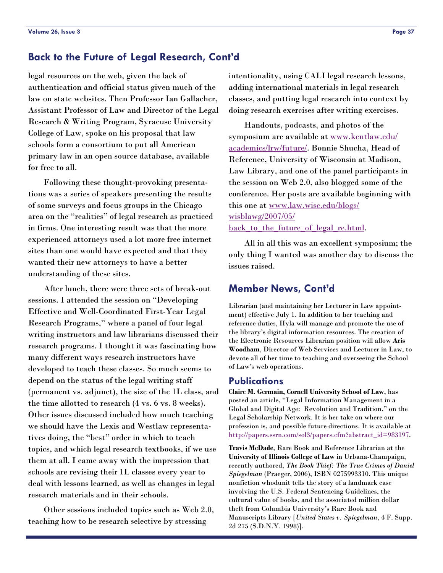### <span id="page-36-0"></span>**Back to the Future of Legal Research, Cont'd**

legal resources on the web, given the lack of authentication and official status given much of the law on state websites. Then Professor Ian Gallacher, Assistant Professor of Law and Director of the Legal Research & Writing Program, Syracuse University College of Law, spoke on his proposal that law schools form a consortium to put all American primary law in an open source database, available for free to all.

 Following these thought-provoking presentations was a series of speakers presenting the results of some surveys and focus groups in the Chicago area on the "realities" of legal research as practiced in firms. One interesting result was that the more experienced attorneys used a lot more free internet sites than one would have expected and that they wanted their new attorneys to have a better understanding of these sites.

 After lunch, there were three sets of break-out sessions. I attended the session on "Developing Effective and Well-Coordinated First-Year Legal Research Programs," where a panel of four legal writing instructors and law librarians discussed their research programs. I thought it was fascinating how many different ways research instructors have developed to teach these classes. So much seems to depend on the status of the legal writing staff (permanent vs. adjunct), the size of the 1L class, and the time allotted to research (4 vs. 6 vs. 8 weeks). Other issues discussed included how much teaching we should have the Lexis and Westlaw representatives doing, the "best" order in which to teach topics, and which legal research textbooks, if we use them at all. I came away with the impression that schools are revising their 1L classes every year to deal with lessons learned, as well as changes in legal research materials and in their schools.

 Other sessions included topics such as Web 2.0, teaching how to be research selective by stressing

intentionality, using CALI legal research lessons, adding international materials in legal research classes, and putting legal research into context by doing research exercises after writing exercises.

 Handouts, podcasts, and photos of the symposium are available at [www.kentlaw.edu/](http://www.kentlaw.edu/academics/lrw/future/) [academics/lrw/future/](http://www.kentlaw.edu/academics/lrw/future/). Bonnie Shucha, Head of Reference, University of Wisconsin at Madison, Law Library, and one of the panel participants in the session on Web 2.0, also blogged some of the conference. Her posts are available beginning with this one at [www.law.wisc.edu/blogs/](http://http:/www.law.wisc.edu/blogs/wisblawg/2007/05/back_to_the_future_of_legal_re.html) [wisblawg/2007/05/](http://http:/www.law.wisc.edu/blogs/wisblawg/2007/05/back_to_the_future_of_legal_re.html) back to the future of legal re.html.

 All in all this was an excellent symposium; the only thing I wanted was another day to discuss the issues raised.

### **Member News, Cont'd**

Librarian (and maintaining her Lecturer in Law appointment) effective July 1. In addition to her teaching and reference duties, Hyla will manage and promote the use of the library's digital information resources. The creation of the Electronic Resources Librarian position will allow **Aris Woodham**, Director of Web Services and Lecturer in Law, to devote all of her time to teaching and overseeing the School of Law's web operations.

#### **Publications**

**Claire M. Germain, Cornell University School of Law**, has posted an article, "Legal Information Management in a Global and Digital Age: Revolution and Tradition," on the Legal Scholarship Network. It is her take on where our profession is, and possible future directions. It is available at [http://papers.ssrn.com/sol3/papers.cfm?abstract\\_id=983197](http://papers.ssrn.com/sol3/papers.cfm?abstract_id=983197).

**Travis McDade**, Rare Book and Reference Librarian at the **University of Illinois College of Law** in Urbana-Champaign, recently authored, *The Book Thief: The True Crimes of Daniel Spiegelman* (Praeger, 2006), ISBN 0275993310. This unique nonfiction whodunit tells the story of a landmark case involving the U.S. Federal Sentencing Guidelines, the cultural value of books, and the associated million dollar theft from Columbia University's Rare Book and Manuscripts Library [*United States v. Spiegelman*, 4 F. Supp. 2d 275 (S.D.N.Y. 1998)].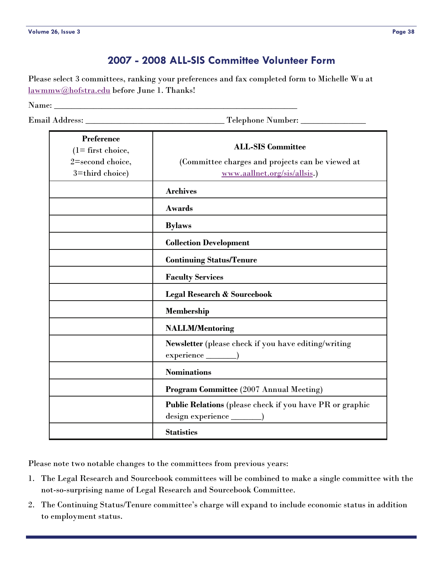### **2007 - 2008 ALL-SIS Committee Volunteer Form**

<span id="page-37-0"></span>Please select 3 committees, ranking your preferences and fax completed form to Michelle Wu at [lawmmw@hofstra.edu](mailto:lawmmw@hofstra.edu) before June 1. Thanks!

Name: \_\_\_\_\_\_\_\_\_\_\_\_\_\_\_\_\_\_\_\_\_\_\_\_\_\_\_\_\_\_\_\_\_\_\_\_\_\_\_\_\_\_\_\_\_\_\_\_\_\_\_\_\_\_\_\_

Email Address: \_\_\_\_\_\_\_\_\_\_\_\_\_\_\_\_\_\_\_\_\_\_\_\_\_\_\_\_\_\_\_\_ Telephone Number: \_\_\_\_\_\_\_\_\_\_\_\_\_\_\_

| <b>Preference</b><br>$(1 =$ first choice, | <b>ALL-SIS Committee</b>                                 |  |
|-------------------------------------------|----------------------------------------------------------|--|
| 2=second choice,                          | (Committee charges and projects can be viewed at         |  |
| 3=third choice)                           | www.aallnet.org/sis/allsis.)                             |  |
|                                           | <b>Archives</b>                                          |  |
|                                           | <b>Awards</b>                                            |  |
|                                           | <b>Bylaws</b>                                            |  |
|                                           | <b>Collection Development</b>                            |  |
|                                           | <b>Continuing Status/Tenure</b>                          |  |
|                                           | <b>Faculty Services</b>                                  |  |
|                                           | <b>Legal Research &amp; Sourcebook</b>                   |  |
|                                           | <b>Membership</b>                                        |  |
|                                           | <b>NALLM/Mentoring</b>                                   |  |
|                                           | Newsletter (please check if you have editing/writing     |  |
|                                           | $experience$ )                                           |  |
|                                           | <b>Nominations</b>                                       |  |
|                                           | <b>Program Committee</b> (2007 Annual Meeting)           |  |
|                                           | Public Relations (please check if you have PR or graphic |  |
|                                           | <b>Statistics</b>                                        |  |

Please note two notable changes to the committees from previous years:

- 1. The Legal Research and Sourcebook committees will be combined to make a single committee with the not-so-surprising name of Legal Research and Sourcebook Committee.
- 2. The Continuing Status/Tenure committee's charge will expand to include economic status in addition to employment status.